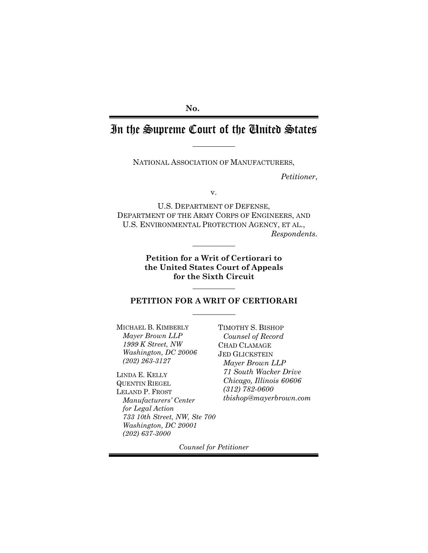## **No.**

# In the Supreme Court of the United States

NATIONAL ASSOCIATION OF MANUFACTURERS,

*Petitioner*,

v.

U.S. DEPARTMENT OF DEFENSE, DEPARTMENT OF THE ARMY CORPS OF ENGINEERS, AND U.S. ENVIRONMENTAL PROTECTION AGENCY, ET AL., *Respondents.*

> **Petition for a Writ of Certiorari to the United States Court of Appeals for the Sixth Circuit**

#### **PETITION FOR A WRIT OF CERTIORARI**

MICHAEL B. KIMBERLY *Mayer Brown LLP 1999 K Street, NW Washington, DC 20006 (202) 263-3127*

LINDA E. KELLY QUENTIN RIEGEL LELAND P. FROST *Manufacturers' Center for Legal Action 733 10th Street, NW, Ste 700 Washington, DC 20001 (202) 637-3000*

TIMOTHY S. BISHOP *Counsel of Record* CHAD CLAMAGE JED GLICKSTEIN *Mayer Brown LLP 71 South Wacker Drive Chicago, Illinois 60606 (312) 782-0600 [tbishop@mayerbrown.com](mailto:tbishop@mayerbrown.com)*

*Counsel for Petitioner*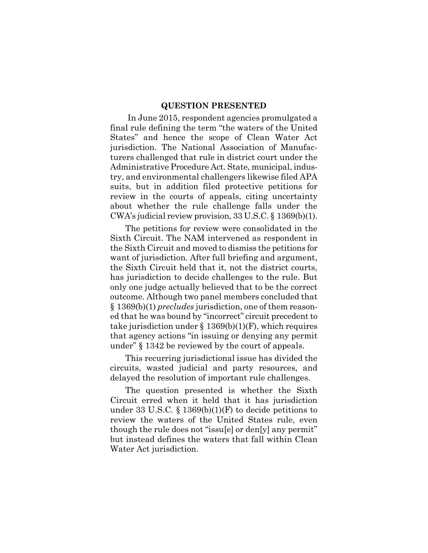#### <span id="page-1-0"></span>**QUESTION PRESENTED**

In June 2015, respondent agencies promulgated a final rule defining the term "the waters of the United States" and hence the scope of Clean Water Act jurisdiction. The National Association of Manufacturers challenged that rule in district court under the Administrative Procedure Act. State, municipal, industry, and environmental challengers likewise filed APA suits, but in addition filed protective petitions for review in the courts of appeals, citing uncertainty about whether the rule challenge falls under the CWA's judicial review provision, 33 U.S.C. § 1369(b)(1).

The petitions for review were consolidated in the Sixth Circuit. The NAM intervened as respondent in the Sixth Circuit and moved to dismiss the petitions for want of jurisdiction. After full briefing and argument, the Sixth Circuit held that it, not the district courts, has jurisdiction to decide challenges to the rule. But only one judge actually believed that to be the correct outcome. Although two panel members concluded that § 1369(b)(1) *precludes* jurisdiction, one of them reasoned that he was bound by "incorrect" circuit precedent to take jurisdiction under  $\S 1369(b)(1)(F)$ , which requires that agency actions "in issuing or denying any permit under" § 1342 be reviewed by the court of appeals.

This recurring jurisdictional issue has divided the circuits, wasted judicial and party resources, and delayed the resolution of important rule challenges.

The question presented is whether the Sixth Circuit erred when it held that it has jurisdiction under 33 U.S.C.  $\S$  1369(b)(1)(F) to decide petitions to review the waters of the United States rule, even though the rule does not "issu[e] or den[y] any permit" but instead defines the waters that fall within Clean Water Act jurisdiction.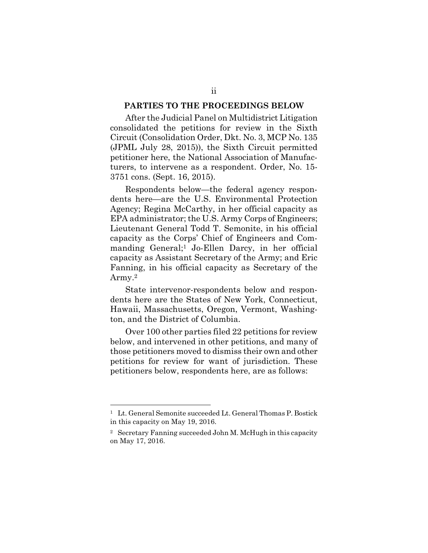#### <span id="page-2-2"></span>**PARTIES TO THE PROCEEDINGS BELOW**

After the Judicial Panel on Multidistrict Litigation consolidated the petitions for review in the Sixth Circuit (Consolidation Order, Dkt. No. 3, MCP No. 135 (JPML July 28, 2015)), the Sixth Circuit permitted petitioner here, the National Association of Manufacturers, to intervene as a respondent. Order, No. 15- 3751 cons. (Sept. 16, 2015).

Respondents below—the federal agency respondents here—are the U.S. Environmental Protection Agency; Regina McCarthy, in her official capacity as EPA administrator; the U.S. Army Corps of Engineers; Lieutenant General Todd T. Semonite, in his official capacity as the Corps' Chief of Engineers and Com-manding General;<sup>[1](#page-2-0)</sup> Jo-Ellen Darcy, in her official capacity as Assistant Secretary of the Army; and Eric Fanning, in his official capacity as Secretary of the Army.[2](#page-2-1)

State intervenor-respondents below and respondents here are the States of New York, Connecticut, Hawaii, Massachusetts, Oregon, Vermont, Washington, and the District of Columbia.

Over 100 other parties filed 22 petitions for review below, and intervened in other petitions, and many of those petitioners moved to dismiss their own and other petitions for review for want of jurisdiction. These petitioners below, respondents here, are as follows:

<span id="page-2-0"></span><sup>&</sup>lt;sup>1</sup> Lt. General Semonite succeeded Lt. General Thomas P. Bostick in this capacity on May 19, 2016.

<span id="page-2-1"></span><sup>2</sup> Secretary Fanning succeeded John M. McHugh in this capacity on May 17, 2016.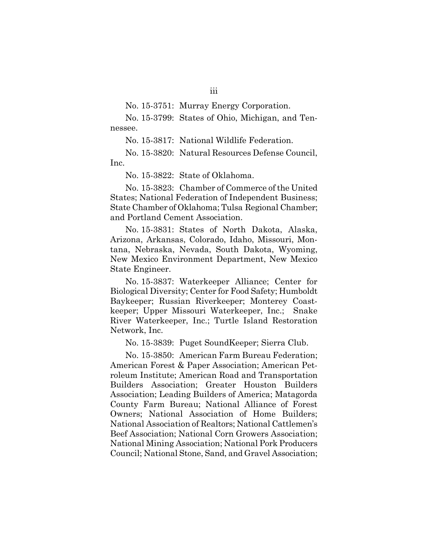No. 15-3751: Murray Energy Corporation.

No. 15-3799: States of Ohio, Michigan, and Tennessee.

No. 15-3817: National Wildlife Federation.

No. 15-3820: Natural Resources Defense Council, Inc.

No. 15-3822: State of Oklahoma.

No. 15-3823: Chamber of Commerce of the United States; National Federation of Independent Business; State Chamber of Oklahoma; Tulsa Regional Chamber; and Portland Cement Association.

No. 15-3831: States of North Dakota, Alaska, Arizona, Arkansas, Colorado, Idaho, Missouri, Montana, Nebraska, Nevada, South Dakota, Wyoming, New Mexico Environment Department, New Mexico State Engineer.

No. 15-3837: Waterkeeper Alliance; Center for Biological Diversity; Center for Food Safety; Humboldt Baykeeper; Russian Riverkeeper; Monterey Coastkeeper; Upper Missouri Waterkeeper, Inc.; Snake River Waterkeeper, Inc.; Turtle Island Restoration Network, Inc.

No. 15-3839: Puget SoundKeeper; Sierra Club.

No. 15-3850: American Farm Bureau Federation; American Forest & Paper Association; American Petroleum Institute; American Road and Transportation Builders Association; Greater Houston Builders Association; Leading Builders of America; Matagorda County Farm Bureau; National Alliance of Forest Owners; National Association of Home Builders; National Association of Realtors; National Cattlemen's Beef Association; National Corn Growers Association; National Mining Association; National Pork Producers Council; National Stone, Sand, and Gravel Association;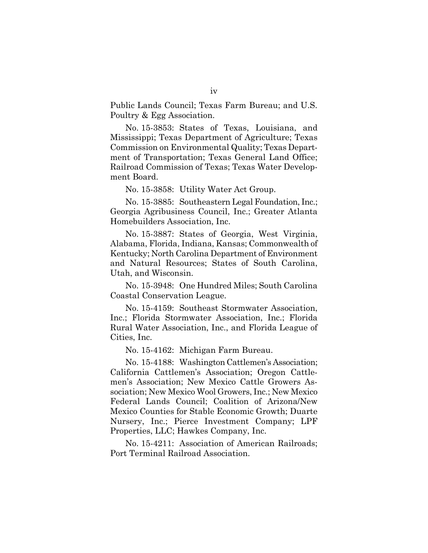Public Lands Council; Texas Farm Bureau; and U.S. Poultry & Egg Association.

No. 15-3853: States of Texas, Louisiana, and Mississippi; Texas Department of Agriculture; Texas Commission on Environmental Quality; Texas Department of Transportation; Texas General Land Office; Railroad Commission of Texas; Texas Water Development Board.

No. 15-3858: Utility Water Act Group.

No. 15-3885: Southeastern Legal Foundation, Inc.; Georgia Agribusiness Council, Inc.; Greater Atlanta Homebuilders Association, Inc.

No. 15-3887: States of Georgia, West Virginia, Alabama, Florida, Indiana, Kansas; Commonwealth of Kentucky; North Carolina Department of Environment and Natural Resources; States of South Carolina, Utah, and Wisconsin.

No. 15-3948: One Hundred Miles; South Carolina Coastal Conservation League.

No. 15-4159: Southeast Stormwater Association, Inc.; Florida Stormwater Association, Inc.; Florida Rural Water Association, Inc., and Florida League of Cities, Inc.

No. 15-4162: Michigan Farm Bureau.

No. 15-4188: Washington Cattlemen's Association; California Cattlemen's Association; Oregon Cattlemen's Association; New Mexico Cattle Growers Association; New Mexico Wool Growers, Inc.; New Mexico Federal Lands Council; Coalition of Arizona/New Mexico Counties for Stable Economic Growth; Duarte Nursery, Inc.; Pierce Investment Company; LPF Properties, LLC; Hawkes Company, Inc.

No. 15-4211: Association of American Railroads; Port Terminal Railroad Association.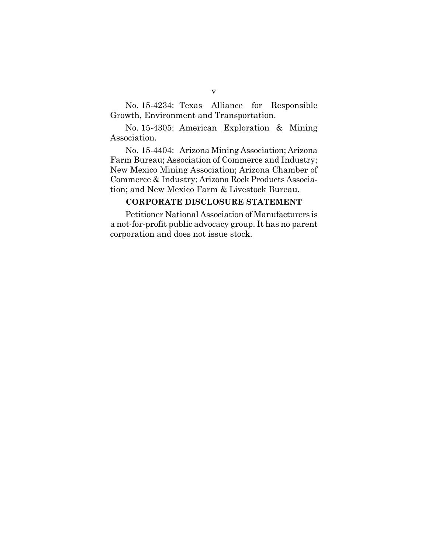No. 15-4234: Texas Alliance for Responsible Growth, Environment and Transportation.

No. 15-4305: American Exploration & Mining Association.

No. 15-4404: Arizona Mining Association; Arizona Farm Bureau; Association of Commerce and Industry; New Mexico Mining Association; Arizona Chamber of Commerce & Industry; Arizona Rock Products Association; and New Mexico Farm & Livestock Bureau.

#### <span id="page-5-0"></span>**CORPORATE DISCLOSURE STATEMENT**

Petitioner National Association of Manufacturers is a not-for-profit public advocacy group. It has no parent corporation and does not issue stock.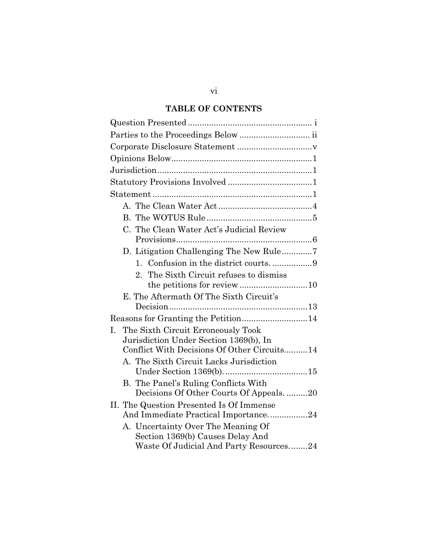## **TABLE OF CONTENTS**

| C. The Clean Water Act's Judicial Review    |
|---------------------------------------------|
|                                             |
| D. Litigation Challenging The New Rule7     |
|                                             |
| The Sixth Circuit refuses to dismiss<br>2.  |
|                                             |
| E. The Aftermath Of The Sixth Circuit's     |
|                                             |
|                                             |
| The Sixth Circuit Erroneously Took<br>L.    |
| Jurisdiction Under Section 1369(b), In      |
| Conflict With Decisions Of Other Circuits14 |
| A. The Sixth Circuit Lacks Jurisdiction     |
|                                             |
| B. The Panel's Ruling Conflicts With        |
| Decisions Of Other Courts Of Appeals20      |
| II. The Question Presented Is Of Immense    |
| And Immediate Practical Importance24        |
| A. Uncertainty Over The Meaning Of          |
| Section 1369(b) Causes Delay And            |
| Waste Of Judicial And Party Resources24     |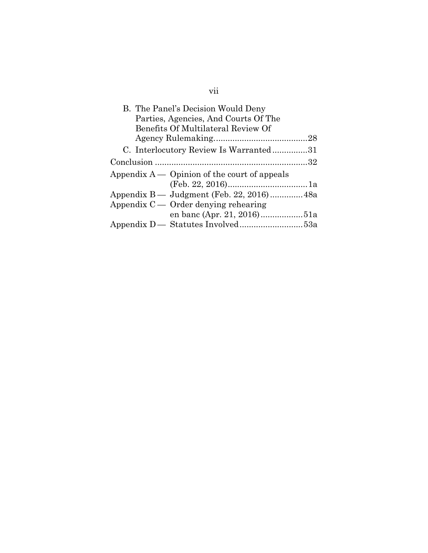| B. The Panel's Decision Would Deny             |  |
|------------------------------------------------|--|
| Parties, Agencies, And Courts Of The           |  |
| Benefits Of Multilateral Review Of             |  |
|                                                |  |
| C. Interlocutory Review Is Warranted31         |  |
|                                                |  |
| Appendix $A$ — Opinion of the court of appeals |  |
|                                                |  |
|                                                |  |
| Appendix $C -$ Order denying rehearing         |  |
|                                                |  |
|                                                |  |

# vii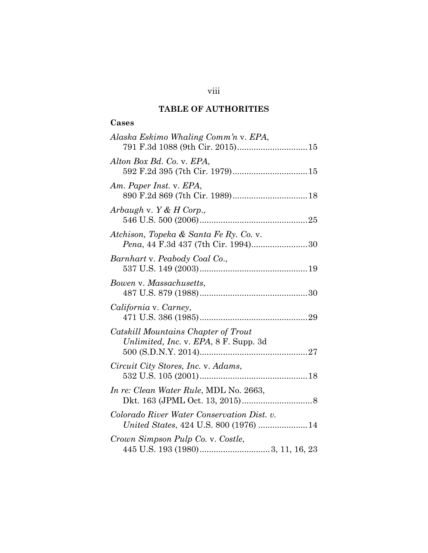## **TABLE OF AUTHORITIES**

## **Cases**

| Alaska Eskimo Whaling Comm'n v. EPA,                                                |
|-------------------------------------------------------------------------------------|
| Alton Box Bd. Co. v. EPA,                                                           |
| Am. Paper Inst. v. EPA,                                                             |
| Arbaugh v. $Y & H$ Corp.,                                                           |
| Atchison, Topeka & Santa Fe Ry. Co. v.<br>Pena, 44 F.3d 437 (7th Cir. 1994)30       |
| Barnhart v. Peabody Coal Co.,                                                       |
| Bowen v. Massachusetts,                                                             |
| California v. Carney,                                                               |
| Catskill Mountains Chapter of Trout<br>Unlimited, Inc. v. EPA, 8 F. Supp. 3d        |
| Circuit City Stores, Inc. v. Adams,                                                 |
| <i>In re: Clean Water Rule, MDL No. 2663,</i>                                       |
| Colorado River Water Conservation Dist. v.<br>United States, 424 U.S. 800 (1976) 14 |
| Crown Simpson Pulp Co. v. Costle,                                                   |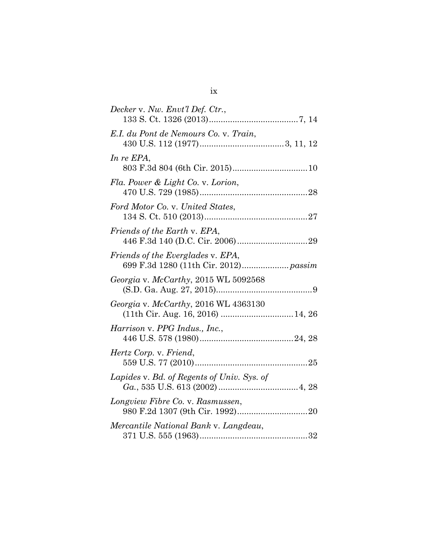| Decker v. Nw. Envt'l Def. Ctr.,                                           |  |
|---------------------------------------------------------------------------|--|
| E.I. du Pont de Nemours Co. v. Train,                                     |  |
| In re EPA,                                                                |  |
| Fla. Power & Light Co. v. Lorion,                                         |  |
| Ford Motor Co. v. United States,                                          |  |
| Friends of the Earth v. EPA,                                              |  |
| Friends of the Everglades v. EPA,                                         |  |
| Georgia v. McCarthy, 2015 WL 5092568                                      |  |
| Georgia v. McCarthy, 2016 WL 4363130<br>(11th Cir. Aug. 16, 2016)  14, 26 |  |
| Harrison v. PPG Indus., Inc.,                                             |  |
| Hertz Corp. v. Friend,                                                    |  |
| Lapides v. Bd. of Regents of Univ. Sys. of                                |  |
| Longview Fibre Co. v. Rasmussen,                                          |  |
| Mercantile National Bank v. Langdeau,                                     |  |

ix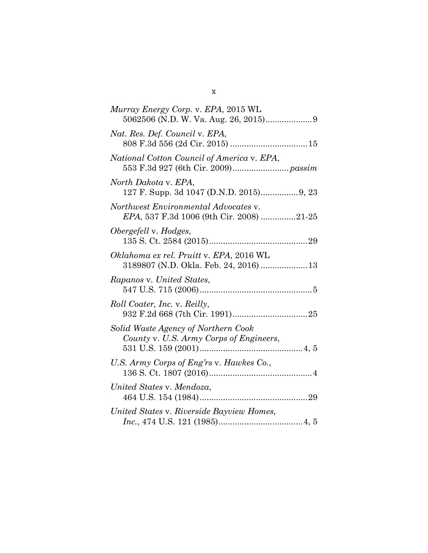| Murray Energy Corp. v. EPA, 2015 WL                                              |
|----------------------------------------------------------------------------------|
| Nat. Res. Def. Council v. EPA,                                                   |
| National Cotton Council of America v. EPA,                                       |
| North Dakota v. EPA,<br>127 F. Supp. 3d 1047 (D.N.D. 2015) 9, 23                 |
| Northwest Environmental Advocates v.<br>EPA, 537 F.3d 1006 (9th Cir. 2008) 21-25 |
| Obergefell v. Hodges,                                                            |
| Oklahoma ex rel. Pruitt v. EPA, 2016 WL                                          |
| Rapanos v. United States,                                                        |
| <i>Roll Coater, Inc. v. Reilly,</i>                                              |
| Solid Waste Agency of Northern Cook<br>County v. U.S. Army Corps of Engineers,   |
| U.S. Army Corps of Eng'rs v. Hawkes Co.,                                         |
| United States v. Mendoza,                                                        |
| United States v. Riverside Bayview Homes,                                        |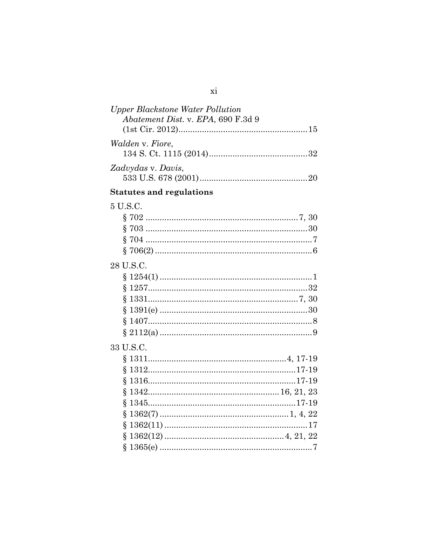| <b>Upper Blackstone Water Pollution</b><br>Abatement Dist. v. EPA, 690 F.3d 9 |  |
|-------------------------------------------------------------------------------|--|
|                                                                               |  |
| <i>Walden v. Fiore,</i>                                                       |  |
|                                                                               |  |
| Zadvydas v. Davis,                                                            |  |
| <b>Statutes and regulations</b>                                               |  |
| 5 U.S.C.                                                                      |  |
|                                                                               |  |
|                                                                               |  |
|                                                                               |  |
|                                                                               |  |
| 28 U.S.C.                                                                     |  |
|                                                                               |  |
|                                                                               |  |
|                                                                               |  |
|                                                                               |  |
|                                                                               |  |
|                                                                               |  |
| 33 U.S.C.                                                                     |  |
|                                                                               |  |
|                                                                               |  |
|                                                                               |  |
| Ş                                                                             |  |
| §                                                                             |  |
| Ş                                                                             |  |
| ş                                                                             |  |
|                                                                               |  |
| Ş                                                                             |  |
|                                                                               |  |

 $\overline{xi}$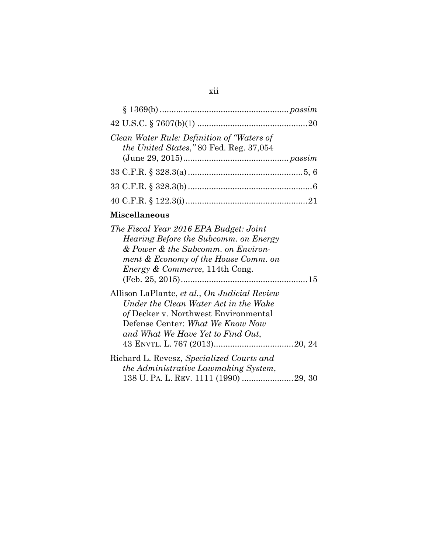| Clean Water Rule: Definition of "Waters of<br>the United States," 80 Fed. Reg. 37,054 |  |
|---------------------------------------------------------------------------------------|--|
|                                                                                       |  |
|                                                                                       |  |
|                                                                                       |  |
|                                                                                       |  |

## **Miscellaneous**

| The Fiscal Year 2016 EPA Budget: Joint                                                                                                                                                                 |
|--------------------------------------------------------------------------------------------------------------------------------------------------------------------------------------------------------|
| Hearing Before the Subcomm. on Energy                                                                                                                                                                  |
| & Power & the Subcomm. on Environ-                                                                                                                                                                     |
| ment & Economy of the House Comm. on<br><i>Energy &amp; Commerce</i> , 114th Cong.                                                                                                                     |
|                                                                                                                                                                                                        |
| Allison LaPlante, et al., On Judicial Review<br>Under the Clean Water Act in the Wake<br>of Decker v. Northwest Environmental<br>Defense Center: What We Know Now<br>and What We Have Yet to Find Out, |
| Richard L. Revesz, Specialized Courts and<br>the Administrative Lawmaking System,                                                                                                                      |
|                                                                                                                                                                                                        |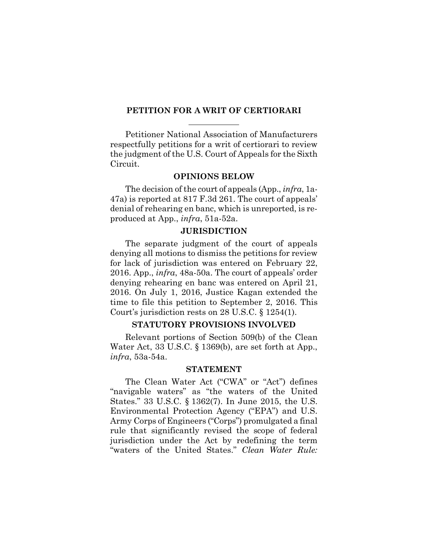#### **PETITION FOR A WRIT OF CERTIORARI**

Petitioner National Association of Manufacturers respectfully petitions for a writ of certiorari to review the judgment of the U.S. Court of Appeals for the Sixth Circuit.

#### <span id="page-13-0"></span>**OPINIONS BELOW**

The decision of the court of appeals (App., *infra*, 1a-47a) is reported at 817 F.3d 261. The court of appeals' denial of rehearing en banc, which is unreported, is reproduced at App., *infra*, 51a-52a.

#### <span id="page-13-1"></span>**JURISDICTION**

The separate judgment of the court of appeals denying all motions to dismiss the petitions for review for lack of jurisdiction was entered on February 22, 2016. App., *infra*, 48a-50a. The court of appeals' order denying rehearing en banc was entered on April 21, 2016. On July 1, 2016, Justice Kagan extended the time to file this petition to September 2, 2016. This Court's jurisdiction rests on 28 U.S.C. § 1254(1).

#### <span id="page-13-2"></span>**STATUTORY PROVISIONS INVOLVED**

Relevant portions of Section 509(b) of the Clean Water Act, 33 U.S.C. § 1369(b), are set forth at App., *infra*, 53a-54a.

#### <span id="page-13-6"></span><span id="page-13-4"></span><span id="page-13-3"></span>**STATEMENT**

<span id="page-13-5"></span>The Clean Water Act ("CWA" or "Act") defines "navigable waters" as "the waters of the United States." 33 U.S.C. § 1362(7). In June 2015, the U.S. Environmental Protection Agency ("EPA") and U.S. Army Corps of Engineers ("Corps") promulgated a final rule that significantly revised the scope of federal jurisdiction under the Act by redefining the term "waters of the United States." *Clean Water Rule:*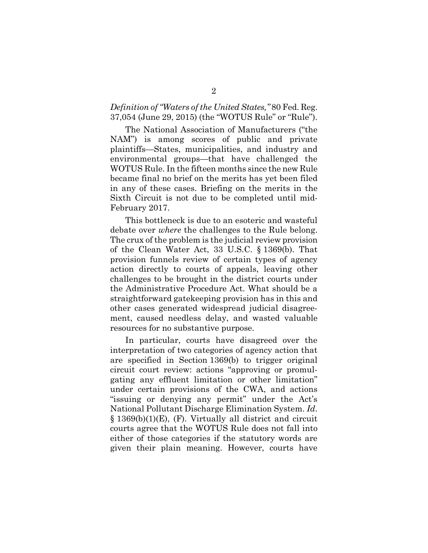## *Definition of "Waters of the United States,"* 80 Fed. Reg. 37,054 (June 29, 2015) (the "WOTUS Rule" or "Rule").

The National Association of Manufacturers ("the NAM") is among scores of public and private plaintiffs—States, municipalities, and industry and environmental groups—that have challenged the WOTUS Rule. In the fifteen months since the new Rule became final no brief on the merits has yet been filed in any of these cases. Briefing on the merits in the Sixth Circuit is not due to be completed until mid-February 2017.

This bottleneck is due to an esoteric and wasteful debate over *where* the challenges to the Rule belong. The crux of the problem is the judicial review provision of the Clean Water Act, 33 U.S.C. § 1369(b). That provision funnels review of certain types of agency action directly to courts of appeals, leaving other challenges to be brought in the district courts under the Administrative Procedure Act. What should be a straightforward gatekeeping provision has in this and other cases generated widespread judicial disagreement, caused needless delay, and wasted valuable resources for no substantive purpose.

In particular, courts have disagreed over the interpretation of two categories of agency action that are specified in Section 1369(b) to trigger original circuit court review: actions "approving or promulgating any effluent limitation or other limitation" under certain provisions of the CWA, and actions "issuing or denying any permit" under the Act's National Pollutant Discharge Elimination System. *Id*. § 1369(b)(1)(E), (F). Virtually all district and circuit courts agree that the WOTUS Rule does not fall into either of those categories if the statutory words are given their plain meaning. However, courts have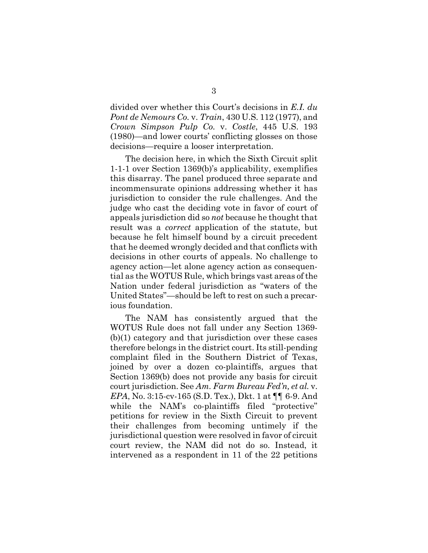<span id="page-15-1"></span><span id="page-15-0"></span>divided over whether this Court's decisions in *E.I. du Pont de Nemours Co.* v. *Train*, 430 U.S. 112 (1977), and *Crown Simpson Pulp Co.* v. *Costle*, 445 U.S. 193 (1980)—and lower courts' conflicting glosses on those decisions—require a looser interpretation.

The decision here, in which the Sixth Circuit split 1-1-1 over Section 1369(b)'s applicability, exemplifies this disarray. The panel produced three separate and incommensurate opinions addressing whether it has jurisdiction to consider the rule challenges. And the judge who cast the deciding vote in favor of court of appeals jurisdiction did so *not* because he thought that result was a *correct* application of the statute, but because he felt himself bound by a circuit precedent that he deemed wrongly decided and that conflicts with decisions in other courts of appeals. No challenge to agency action—let alone agency action as consequential as the WOTUS Rule, which brings vast areas of the Nation under federal jurisdiction as "waters of the United States"—should be left to rest on such a precarious foundation.

The NAM has consistently argued that the WOTUS Rule does not fall under any Section 1369- (b)(1) category and that jurisdiction over these cases therefore belongs in the district court. Its still-pending complaint filed in the Southern District of Texas, joined by over a dozen co-plaintiffs, argues that Section 1369(b) does not provide any basis for circuit court jurisdiction. See *Am. Farm Bureau Fed'n, et al.* v. *EPA*, No. 3:15-cv-165 (S.D. Tex.), Dkt. 1 at ¶¶ 6-9. And while the NAM's co-plaintiffs filed "protective" petitions for review in the Sixth Circuit to prevent their challenges from becoming untimely if the jurisdictional question were resolved in favor of circuit court review, the NAM did not do so. Instead, it intervened as a respondent in 11 of the 22 petitions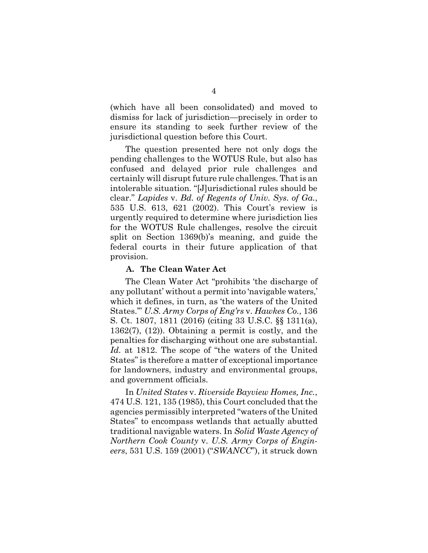(which have all been consolidated) and moved to dismiss for lack of jurisdiction—precisely in order to ensure its standing to seek further review of the jurisdictional question before this Court.

<span id="page-16-1"></span>The question presented here not only dogs the pending challenges to the WOTUS Rule, but also has confused and delayed prior rule challenges and certainly will disrupt future rule challenges. That is an intolerable situation. "[J]urisdictional rules should be clear." *Lapides* v. *Bd. of Regents of Univ. Sys. of Ga.*, 535 U.S. 613, 621 (2002). This Court's review is urgently required to determine where jurisdiction lies for the WOTUS Rule challenges, resolve the circuit split on Section 1369(b)'s meaning, and guide the federal courts in their future application of that provision.

#### <span id="page-16-3"></span><span id="page-16-0"></span>**A. The Clean Water Act**

<span id="page-16-6"></span><span id="page-16-5"></span>The Clean Water Act "prohibits 'the discharge of any pollutant' without a permit into 'navigable waters,' which it defines, in turn, as 'the waters of the United States.'" *U.S. Army Corps of Eng'rs* v. *Hawkes Co.*, 136 S. Ct. 1807, 1811 (2016) (citing 33 U.S.C. §§ 1311(a), 1362(7), (12)). Obtaining a permit is costly, and the penalties for discharging without one are substantial. *Id.* at 1812. The scope of "the waters of the United States" is therefore a matter of exceptional importance for landowners, industry and environmental groups, and government officials.

<span id="page-16-4"></span><span id="page-16-2"></span>In *United States* v. *Riverside Bayview Homes, Inc.*, 474 U.S. 121, 135 (1985), this Court concluded that the agencies permissibly interpreted "waters of the United States" to encompass wetlands that actually abutted traditional navigable waters. In *Solid Waste Agency of Northern Cook County* v. *U.S. Army Corps of Engineers*, 531 U.S. 159 (2001) ("*SWANCC*"), it struck down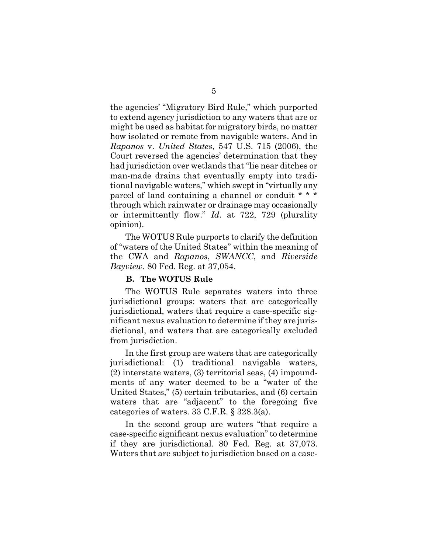<span id="page-17-1"></span>the agencies' "Migratory Bird Rule," which purported to extend agency jurisdiction to any waters that are or might be used as habitat for migratory birds, no matter how isolated or remote from navigable waters. And in *Rapanos* v. *United States*, 547 U.S. 715 (2006), the Court reversed the agencies' determination that they had jurisdiction over wetlands that "lie near ditches or man-made drains that eventually empty into traditional navigable waters," which swept in "virtually any parcel of land containing a channel or conduit \* \* \* through which rainwater or drainage may occasionally or intermittently flow." *Id*. at 722, 729 (plurality opinion).

The WOTUS Rule purports to clarify the definition of "waters of the United States" within the meaning of the CWA and *Rapanos*, *SWANCC*, and *Riverside Bayview*. 80 Fed. Reg. at 37,054.

#### <span id="page-17-3"></span><span id="page-17-2"></span><span id="page-17-0"></span>**B. The WOTUS Rule**

The WOTUS Rule separates waters into three jurisdictional groups: waters that are categorically jurisdictional, waters that require a case-specific significant nexus evaluation to determine if they are jurisdictional, and waters that are categorically excluded from jurisdiction.

In the first group are waters that are categorically jurisdictional: (1) traditional navigable waters, (2) interstate waters, (3) territorial seas, (4) impoundments of any water deemed to be a "water of the United States," (5) certain tributaries, and (6) certain waters that are "adjacent" to the foregoing five categories of waters. 33 C.F.R. § 328.3(a).

<span id="page-17-4"></span>In the second group are waters "that require a case-specific significant nexus evaluation" to determine if they are jurisdictional. 80 Fed. Reg. at 37,073. Waters that are subject to jurisdiction based on a case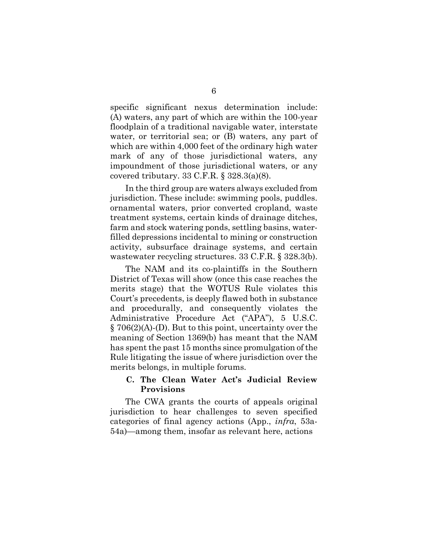specific significant nexus determination include: (A) waters, any part of which are within the 100-year floodplain of a traditional navigable water, interstate water, or territorial sea; or (B) waters, any part of which are within 4,000 feet of the ordinary high water mark of any of those jurisdictional waters, any impoundment of those jurisdictional waters, or any covered tributary. 33 C.F.R. § 328.3(a)(8).

In the third group are waters always excluded from jurisdiction. These include: swimming pools, puddles. ornamental waters, prior converted cropland, waste treatment systems, certain kinds of drainage ditches, farm and stock watering ponds, settling basins, waterfilled depressions incidental to mining or construction activity, subsurface drainage systems, and certain wastewater recycling structures. 33 C.F.R. § 328.3(b).

<span id="page-18-2"></span><span id="page-18-1"></span>The NAM and its co-plaintiffs in the Southern District of Texas will show (once this case reaches the merits stage) that the WOTUS Rule violates this Court's precedents, is deeply flawed both in substance and procedurally, and consequently violates the Administrative Procedure Act ("APA"), 5 U.S.C. § 706(2)(A)-(D). But to this point, uncertainty over the meaning of Section 1369(b) has meant that the NAM has spent the past 15 months since promulgation of the Rule litigating the issue of where jurisdiction over the merits belongs, in multiple forums.

## <span id="page-18-0"></span>**C. The Clean Water Act's Judicial Review Provisions**

The CWA grants the courts of appeals original jurisdiction to hear challenges to seven specified categories of final agency actions (App., *infra*, 53a-54a)—among them, insofar as relevant here, actions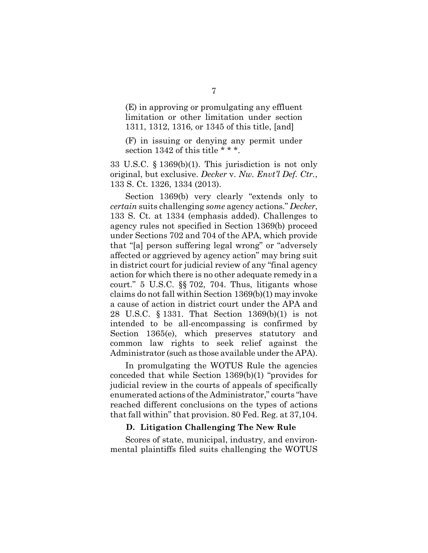(E) in approving or promulgating any effluent limitation or other limitation under section 1311, 1312, 1316, or 1345 of this title, [and]

<span id="page-19-1"></span>(F) in issuing or denying any permit under section 1342 of this title \* \* \*.

33 U.S.C. § 1369(b)(1). This jurisdiction is not only original, but exclusive. *Decker* v. *Nw. Envt'l Def. Ctr.*, 133 S. Ct. 1326, 1334 (2013).

Section 1369(b) very clearly "extends only to *certain* suits challenging *some* agency actions." *Decker*, 133 S. Ct. at 1334 (emphasis added). Challenges to agency rules not specified in Section 1369(b) proceed under Sections 702 and 704 of the APA, which provide that "[a] person suffering legal wrong" or "adversely affected or aggrieved by agency action" may bring suit in district court for judicial review of any "final agency action for which there is no other adequate remedy in a court." 5 U.S.C. §§ 702, 704. Thus, litigants whose claims do not fall within Section 1369(b)(1) may invoke a cause of action in district court under the APA and 28 U.S.C. § 1331. That Section 1369(b)(1) is not intended to be all-encompassing is confirmed by Section 1365(e), which preserves statutory and common law rights to seek relief against the Administrator (such as those available under the APA).

<span id="page-19-3"></span><span id="page-19-2"></span>In promulgating the WOTUS Rule the agencies conceded that while Section 1369(b)(1) "provides for judicial review in the courts of appeals of specifically enumerated actions of the Administrator," courts "have reached different conclusions on the types of actions that fall within" that provision. 80 Fed. Reg. at 37,104.

#### <span id="page-19-0"></span>**D. Litigation Challenging The New Rule**

Scores of state, municipal, industry, and environmental plaintiffs filed suits challenging the WOTUS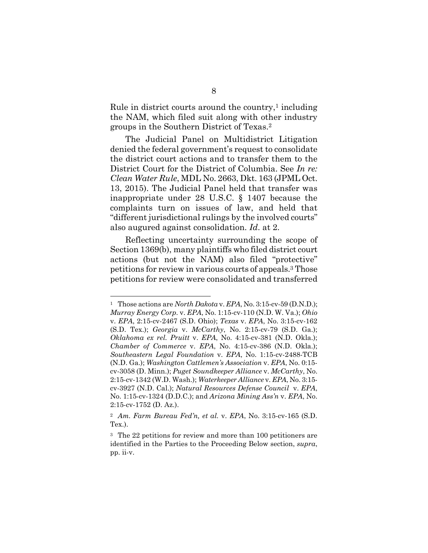Rule in district courts around the country, $\frac{1}{1}$  $\frac{1}{1}$  $\frac{1}{1}$  including the NAM, which filed suit along with other industry groups in the Southern District of Texas.[2](#page-20-3)

<span id="page-20-0"></span>The Judicial Panel on Multidistrict Litigation denied the federal government's request to consolidate the district court actions and to transfer them to the District Court for the District of Columbia. See *In re: Clean Water Rule*, MDL No. 2663, Dkt. 163 (JPML Oct. 13, 2015). The Judicial Panel held that transfer was inappropriate under 28 U.S.C. § 1407 because the complaints turn on issues of law, and held that "different jurisdictional rulings by the involved courts" also augured against consolidation. *Id*. at 2.

<span id="page-20-1"></span>Reflecting uncertainty surrounding the scope of Section 1369(b), many plaintiffs who filed district court actions (but not the NAM) also filed "protective" petitions for review in various courts of appeals.<sup>3</sup> [T](#page-20-4)hose petitions for review were consolidated and transferred

<span id="page-20-2"></span><sup>1</sup> Those actions are *North Dakota* v. *EPA*, No. 3:15-cv-59 (D.N.D.); *Murray Energy Corp.* v. *EPA*, No. 1:15-cv-110 (N.D. W. Va.); *Ohio* v. *EPA*, 2:15-cv-2467 (S.D. Ohio); *Texas* v. *EPA*, No. 3:15-cv-162 (S.D. Tex.); *Georgia* v. *McCarthy*, No. 2:15-cv-79 (S.D. Ga.); *Oklahoma ex rel. Pruitt* v. *EPA*, No. 4:15-cv-381 (N.D. Okla.); *Chamber of Commerce* v. *EPA*, No. 4:15-cv-386 (N.D. Okla.); *Southeastern Legal Foundation* v. *EPA*, No. 1:15-cv-2488-TCB (N.D. Ga.); *Washington Cattlemen's Association* v. *EPA*, No. 0:15 cv-3058 (D. Minn.); *Puget Soundkeeper Alliance* v. *McCarthy*, No. 2:15-cv-1342 (W.D. Wash.); *Waterkeeper Alliance* v. *EPA*, No. 3:15 cv-3927 (N.D. Cal.); *Natural Resources Defense Council* v. *EPA*, No. 1:15-cv-1324 (D.D.C.); and *Arizona Mining Ass'n* v. *EPA*, No. 2:15-cv-1752 (D. Az.).

<span id="page-20-3"></span><sup>2</sup> *Am. Farm Bureau Fed'n, et al.* v. *EPA*, No. 3:15-cv-165 (S.D. Tex.).

<span id="page-20-4"></span><sup>3</sup> The 22 petitions for review and more than 100 petitioners are identified in the Parties to the Proceeding Below section, *supra*, pp. ii-v.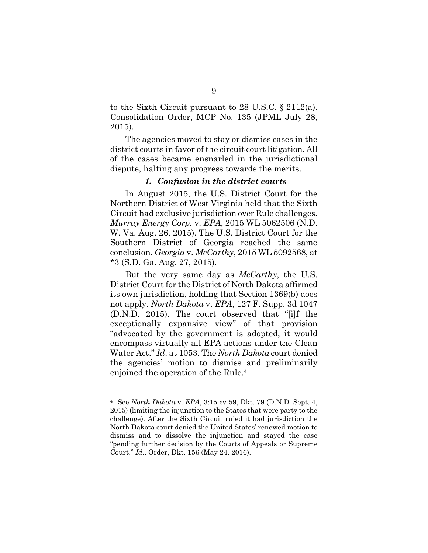to the Sixth Circuit pursuant to 28 U.S.C. § 2112(a). Consolidation Order, MCP No. 135 (JPML July 28, 2015).

The agencies moved to stay or dismiss cases in the district courts in favor of the circuit court litigation. All of the cases became ensnarled in the jurisdictional dispute, halting any progress towards the merits.

#### <span id="page-21-4"></span><span id="page-21-0"></span>*1. Confusion in the district courts*

<span id="page-21-2"></span>In August 2015, the U.S. District Court for the Northern District of West Virginia held that the Sixth Circuit had exclusive jurisdiction over Rule challenges. *Murray Energy Corp.* v. *EPA*, 2015 WL 5062506 (N.D. W. Va. Aug. 26, 2015). The U.S. District Court for the Southern District of Georgia reached the same conclusion. *Georgia* v. *McCarthy*, 2015 WL 5092568, at \*3 (S.D. Ga. Aug. 27, 2015).

<span id="page-21-3"></span><span id="page-21-1"></span>But the very same day as *McCarthy*, the U.S. District Court for the District of North Dakota affirmed its own jurisdiction, holding that Section 1369(b) does not apply. *North Dakota* v. *EPA*, 127 F. Supp. 3d 1047 (D.N.D. 2015). The court observed that "[i]f the exceptionally expansive view" of that provision "advocated by the government is adopted, it would encompass virtually all EPA actions under the Clean Water Act." *Id*. at 1053. The *North Dakota* court denied the agencies' motion to dismiss and preliminarily enjoined the operation of the Rule.[4](#page-21-5)

<span id="page-21-5"></span><sup>4</sup> See *North Dakota* v. *EPA*, 3:15-cv-59, Dkt. 79 (D.N.D. Sept. 4, 2015) (limiting the injunction to the States that were party to the challenge). After the Sixth Circuit ruled it had jurisdiction the North Dakota court denied the United States' renewed motion to dismiss and to dissolve the injunction and stayed the case "pending further decision by the Courts of Appeals or Supreme Court." *Id.*, Order, Dkt. 156 (May 24, 2016).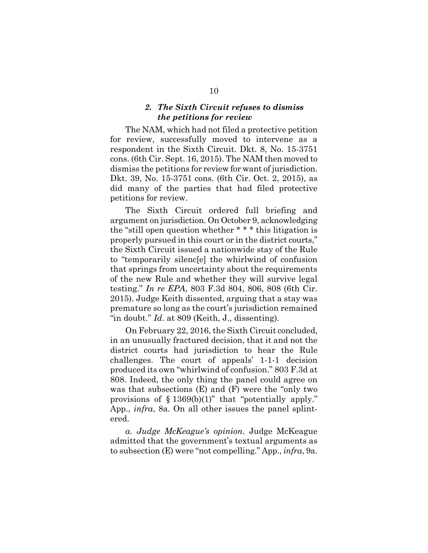## <span id="page-22-0"></span>*2. The Sixth Circuit refuses to dismiss the petitions for review*

The NAM, which had not filed a protective petition for review, successfully moved to intervene as a respondent in the Sixth Circuit. Dkt. 8, No. 15-3751 cons. (6th Cir. Sept. 16, 2015). The NAM then moved to dismiss the petitions for review for want of jurisdiction. Dkt. 39, No. 15-3751 cons. (6th Cir. Oct. 2, 2015), as did many of the parties that had filed protective petitions for review.

The Sixth Circuit ordered full briefing and argument on jurisdiction. On October 9, acknowledging the "still open question whether \* \* \* this litigation is properly pursued in this court or in the district courts," the Sixth Circuit issued a nationwide stay of the Rule to "temporarily silenc[e] the whirlwind of confusion that springs from uncertainty about the requirements of the new Rule and whether they will survive legal testing." *In re EPA*, 803 F.3d 804, 806, 808 (6th Cir. 2015). Judge Keith dissented, arguing that a stay was premature so long as the court's jurisdiction remained "in doubt." *Id*. at 809 (Keith, J., dissenting).

<span id="page-22-1"></span>On February 22, 2016, the Sixth Circuit concluded, in an unusually fractured decision, that it and not the district courts had jurisdiction to hear the Rule challenges. The court of appeals' 1-1-1 decision produced its own "whirlwind of confusion." 803 F.3d at 808. Indeed, the only thing the panel could agree on was that subsections (E) and (F) were the "only two provisions of  $§$  1369(b)(1)" that "potentially apply." App., *infra*, 8a. On all other issues the panel splintered.

*a. Judge McKeague's opinion*. Judge McKeague admitted that the government's textual arguments as to subsection (E) were "not compelling." App., *infra*, 9a.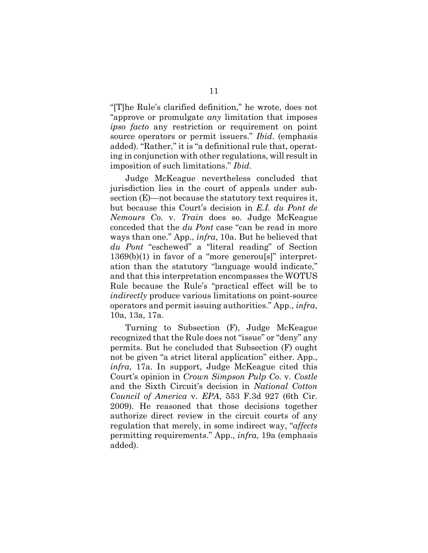"[T]he Rule's clarified definition," he wrote, does not "approve or promulgate *any* limitation that imposes *ipso facto* any restriction or requirement on point source operators or permit issuers." *Ibid*. (emphasis added). "Rather," it is "a definitional rule that, operating in conjunction with other regulations, will result in imposition of such limitations." *Ibid*.

<span id="page-23-1"></span>Judge McKeague nevertheless concluded that jurisdiction lies in the court of appeals under subsection (E)—not because the statutory text requires it, but because this Court's decision in *E.I. du Pont de Nemours Co.* v. *Train* does so. Judge McKeague conceded that the *du Pont* case "can be read in more ways than one." App., *infra*, 10a. But he believed that *du Pont* "eschewed" a "literal reading" of Section  $1369(b)(1)$  in favor of a "more generous" interpretation than the statutory "language would indicate," and that this interpretation encompasses the WOTUS Rule because the Rule's "practical effect will be to *indirectly* produce various limitations on point-source operators and permit issuing authorities." App., *infra*, 10a, 13a, 17a.

<span id="page-23-2"></span><span id="page-23-0"></span>Turning to Subsection (F), Judge McKeague recognized that the Rule does not "issue" or "deny" any permits. But he concluded that Subsection (F) ought not be given "a strict literal application" either. App., *infra*, 17a. In support, Judge McKeague cited this Court's opinion in *Crown Simpson Pulp Co.* v. *Costle* and the Sixth Circuit's decision in *National Cotton Council of America* v. *EPA*, 553 F.3d 927 (6th Cir. 2009). He reasoned that those decisions together authorize direct review in the circuit courts of any regulation that merely, in some indirect way, "*affects* permitting requirements." App., *infra*, 19a (emphasis added).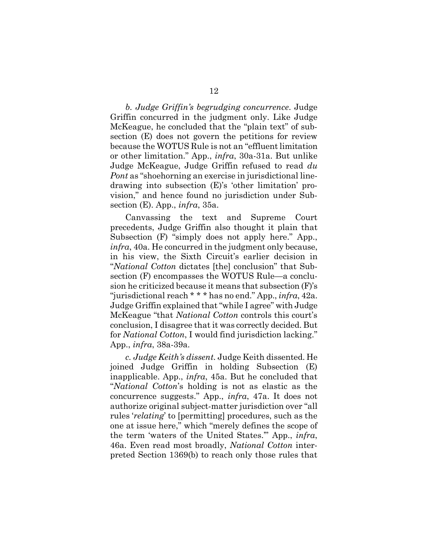<span id="page-24-0"></span>*b. Judge Griffin's begrudging concurrence*. Judge Griffin concurred in the judgment only. Like Judge McKeague, he concluded that the "plain text" of subsection (E) does not govern the petitions for review because the WOTUS Rule is not an "effluent limitation or other limitation." App., *infra*, 30a-31a. But unlike Judge McKeague, Judge Griffin refused to read *du Pont* as "shoehorning an exercise in jurisdictional linedrawing into subsection (E)'s 'other limitation' provision," and hence found no jurisdiction under Subsection (E). App., *infra*, 35a.

Canvassing the text and Supreme Court precedents, Judge Griffin also thought it plain that Subsection (F) "simply does not apply here." App., *infra*, 40a. He concurred in the judgment only because, in his view, the Sixth Circuit's earlier decision in "*National Cotton* dictates [the] conclusion" that Subsection (F) encompasses the WOTUS Rule—a conclusion he criticized because it means that subsection (F)'s "jurisdictional reach \* \* \* has no end." App., *infra*, 42a. Judge Griffin explained that "while I agree" with Judge McKeague "that *National Cotton* controls this court's conclusion, I disagree that it was correctly decided. But for *National Cotton*, I would find jurisdiction lacking." App., *infra*, 38a-39a.

*c. Judge Keith's dissent.* Judge Keith dissented. He joined Judge Griffin in holding Subsection (E) inapplicable. App., *infra*, 45a. But he concluded that "*National Cotton*'s holding is not as elastic as the concurrence suggests." App., *infra*, 47a. It does not authorize original subject-matter jurisdiction over "all rules '*relating*' to [permitting] procedures, such as the one at issue here," which "merely defines the scope of the term 'waters of the United States.'" App., *infra*, 46a. Even read most broadly, *National Cotton* interpreted Section 1369(b) to reach only those rules that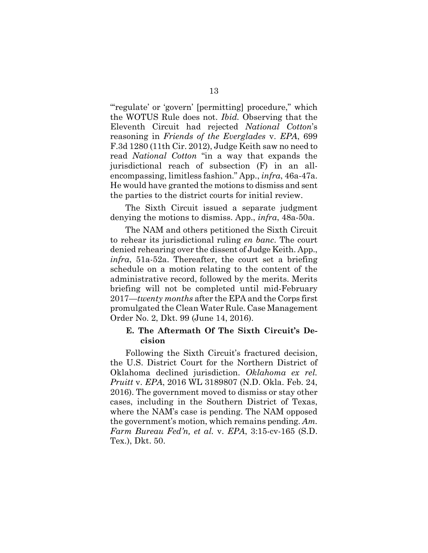<span id="page-25-1"></span>"regulate' or 'govern' [permitting] procedure," which the WOTUS Rule does not. *Ibid.* Observing that the Eleventh Circuit had rejected *National Cotton*'s reasoning in *Friends of the Everglades* v. *EPA*, 699 F.3d 1280 (11th Cir. 2012), Judge Keith saw no need to read *National Cotton* "in a way that expands the jurisdictional reach of subsection (F) in an allencompassing, limitless fashion." App., *infra*, 46a-47a. He would have granted the motions to dismiss and sent the parties to the district courts for initial review.

The Sixth Circuit issued a separate judgment denying the motions to dismiss. App., *infra*, 48a-50a.

The NAM and others petitioned the Sixth Circuit to rehear its jurisdictional ruling *en banc*. The court denied rehearing over the dissent of Judge Keith. App., *infra*, 51a-52a. Thereafter, the court set a briefing schedule on a motion relating to the content of the administrative record, followed by the merits. Merits briefing will not be completed until mid-February 2017—*twenty months* after the EPA and the Corps first promulgated the Clean Water Rule. Case Management Order No. 2, Dkt. 99 (June 14, 2016).

## <span id="page-25-2"></span><span id="page-25-0"></span>**E. The Aftermath Of The Sixth Circuit's Decision**

Following the Sixth Circuit's fractured decision, the U.S. District Court for the Northern District of Oklahoma declined jurisdiction. *Oklahoma ex rel. Pruitt* v. *EPA*, 2016 WL 3189807 (N.D. Okla. Feb. 24, 2016). The government moved to dismiss or stay other cases, including in the Southern District of Texas, where the NAM's case is pending. The NAM opposed the government's motion, which remains pending. *Am. Farm Bureau Fed'n, et al.* v. *EPA*, 3:15-cv-165 (S.D. Tex.), Dkt. 50.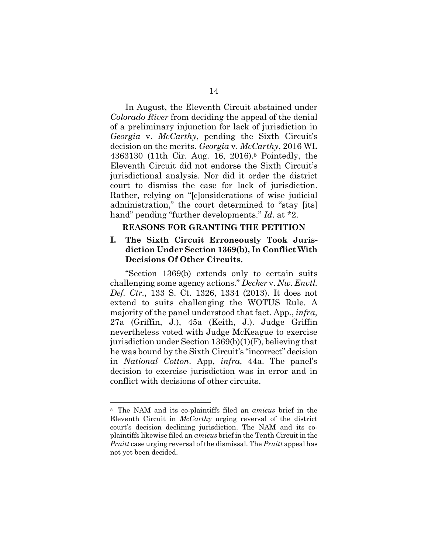<span id="page-26-3"></span>In August, the Eleventh Circuit abstained under *Colorado River* from deciding the appeal of the denial of a preliminary injunction for lack of jurisdiction in *Georgia* v. *McCarthy*, pending the Sixth Circuit's decision on the merits. *Georgia* v. *McCarthy*, 2016 WL 4363130 (11th Cir. Aug. 16, 2016).[5](#page-26-4) Pointedly, the Eleventh Circuit did not endorse the Sixth Circuit's jurisdictional analysis. Nor did it order the district court to dismiss the case for lack of jurisdiction. Rather, relying on "[c]onsiderations of wise judicial administration," the court determined to "stay [its] hand" pending "further developments." *Id*. at \*2.

#### <span id="page-26-2"></span><span id="page-26-1"></span><span id="page-26-0"></span>**REASONS FOR GRANTING THE PETITION**

## **I. The Sixth Circuit Erroneously Took Jurisdiction Under Section 1369(b), In Conflict With Decisions Of Other Circuits.**

"Section 1369(b) extends only to certain suits challenging some agency actions." *Decker* v. *Nw. Envtl. Def. Ctr.*, 133 S. Ct. 1326, 1334 (2013). It does not extend to suits challenging the WOTUS Rule. A majority of the panel understood that fact. App., *infra*, 27a (Griffin, J.), 45a (Keith, J.). Judge Griffin nevertheless voted with Judge McKeague to exercise jurisdiction under Section 1369(b)(1)(F), believing that he was bound by the Sixth Circuit's "incorrect" decision in *National Cotton*. App, *infra*, 44a. The panel's decision to exercise jurisdiction was in error and in conflict with decisions of other circuits.

<span id="page-26-4"></span><sup>5</sup> The NAM and its co-plaintiffs filed an *amicus* brief in the Eleventh Circuit in *McCarthy* urging reversal of the district court's decision declining jurisdiction. The NAM and its coplaintiffs likewise filed an *amicus* brief in the Tenth Circuit in the *Pruitt* case urging reversal of the dismissal. The *Pruitt* appeal has not yet been decided.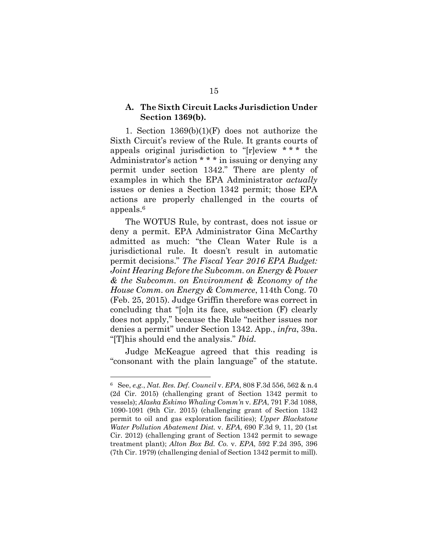## <span id="page-27-0"></span>**A. The Sixth Circuit Lacks Jurisdiction Under Section 1369(b).**

1. Section 1369(b)(1)(F) does not authorize the Sixth Circuit's review of the Rule. It grants courts of appeals original jurisdiction to "[r]eview \* \* \* the Administrator's action \* \* \* in issuing or denying any permit under section 1342." There are plenty of examples in which the EPA Administrator *actually* issues or denies a Section 1342 permit; those EPA actions are properly challenged in the courts of appeals.[6](#page-27-6)

<span id="page-27-5"></span>The WOTUS Rule, by contrast, does not issue or deny a permit. EPA Administrator Gina McCarthy admitted as much: "the Clean Water Rule is a jurisdictional rule. It doesn't result in automatic permit decisions." *The Fiscal Year 2016 EPA Budget: Joint Hearing Before the Subcomm. on Energy & Power & the Subcomm. on Environment & Economy of the House Comm. on Energy & Commerce*, 114th Cong. 70 (Feb. 25, 2015). Judge Griffin therefore was correct in concluding that "[o]n its face, subsection (F) clearly does not apply," because the Rule "neither issues nor denies a permit" under Section 1342. App., *infra*, 39a. "[T]his should end the analysis." *Ibid.*

Judge McKeague agreed that this reading is "consonant with the plain language" of the statute.

<span id="page-27-6"></span><span id="page-27-4"></span><span id="page-27-3"></span><span id="page-27-2"></span><span id="page-27-1"></span><sup>6</sup> See, *e.g.*, *Nat. Res. Def. Council* v. *EPA*, 808 F.3d 556, 562 & n.4 (2d Cir. 2015) (challenging grant of Section 1342 permit to vessels); *Alaska Eskimo Whaling Comm'n* v. *EPA*, 791 F.3d 1088, 1090-1091 (9th Cir. 2015) (challenging grant of Section 1342 permit to oil and gas exploration facilities); *Upper Blackstone Water Pollution Abatement Dist.* v. *EPA*, 690 F.3d 9, 11, 20 (1st Cir. 2012) (challenging grant of Section 1342 permit to sewage treatment plant); *Alton Box Bd. Co.* v. *EPA*, 592 F.2d 395, 396 (7th Cir. 1979) (challenging denial of Section 1342 permit to mill).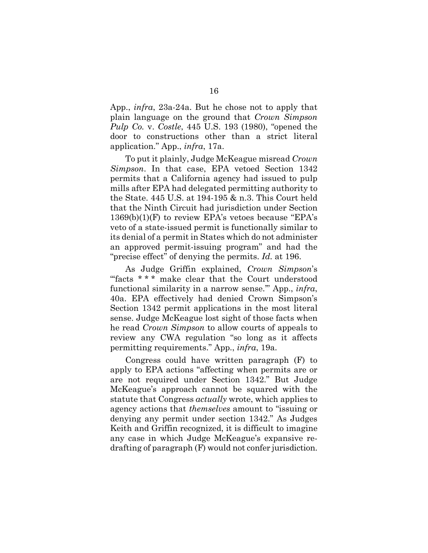<span id="page-28-0"></span>App., *infra*, 23a-24a. But he chose not to apply that plain language on the ground that *Crown Simpson Pulp Co.* v. *Costle*, 445 U.S. 193 (1980), "opened the door to constructions other than a strict literal application." App., *infra*, 17a.

To put it plainly, Judge McKeague misread *Crown Simpson*. In that case, EPA vetoed Section 1342 permits that a California agency had issued to pulp mills after EPA had delegated permitting authority to the State. 445 U.S. at 194-195 & n.3. This Court held that the Ninth Circuit had jurisdiction under Section  $1369(b)(1)(F)$  to review EPA's vetoes because "EPA's veto of a state-issued permit is functionally similar to its denial of a permit in States which do not administer an approved permit-issuing program" and had the "precise effect" of denying the permits. *Id.* at 196.

As Judge Griffin explained, *Crown Simpson*'s "facts \* \* \* make clear that the Court understood functional similarity in a narrow sense.'" App., *infra*, 40a. EPA effectively had denied Crown Simpson's Section 1342 permit applications in the most literal sense. Judge McKeague lost sight of those facts when he read *Crown Simpson* to allow courts of appeals to review any CWA regulation "so long as it affects permitting requirements." App., *infra*, 19a.

Congress could have written paragraph (F) to apply to EPA actions "affecting when permits are or are not required under Section 1342." But Judge McKeague's approach cannot be squared with the statute that Congress *actually* wrote, which applies to agency actions that *themselves* amount to "issuing or denying any permit under section 1342." As Judges Keith and Griffin recognized, it is difficult to imagine any case in which Judge McKeague's expansive redrafting of paragraph (F) would not confer jurisdiction.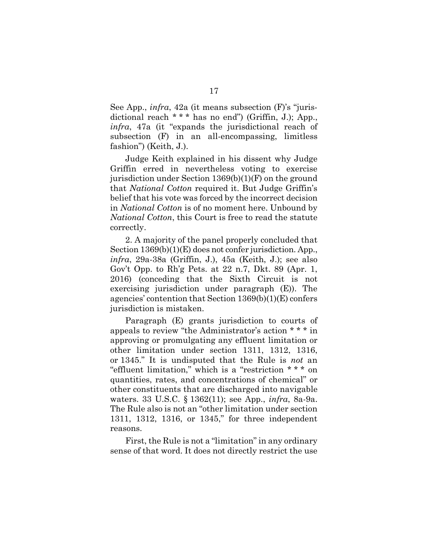See App., *infra*, 42a (it means subsection (F)'s "jurisdictional reach \* \* \* has no end") (Griffin, J.); App., *infra*, 47a (it "expands the jurisdictional reach of subsection (F) in an all-encompassing, limitless fashion") (Keith, J.).

Judge Keith explained in his dissent why Judge Griffin erred in nevertheless voting to exercise jurisdiction under Section 1369(b)(1)(F) on the ground that *National Cotton* required it. But Judge Griffin's belief that his vote was forced by the incorrect decision in *National Cotton* is of no moment here. Unbound by *National Cotton*, this Court is free to read the statute correctly.

2. A majority of the panel properly concluded that Section  $1369(b)(1)(E)$  does not confer jurisdiction. App., *infra*, 29a-38a (Griffin, J.), 45a (Keith, J.); see also Gov't Opp. to Rh'g Pets. at 22 n.7, Dkt. 89 (Apr. 1, 2016) (conceding that the Sixth Circuit is not exercising jurisdiction under paragraph (E)). The agencies' contention that Section 1369(b)(1)(E) confers jurisdiction is mistaken.

<span id="page-29-0"></span>Paragraph (E) grants jurisdiction to courts of appeals to review "the Administrator's action \* \* \* in approving or promulgating any effluent limitation or other limitation under section 1311, 1312, 1316, or 1345." It is undisputed that the Rule is *not* an "effluent limitation," which is a "restriction \* \* \* on quantities, rates, and concentrations of chemical" or other constituents that are discharged into navigable waters. 33 U.S.C. § 1362(11); see App., *infra*, 8a-9a. The Rule also is not an "other limitation under section 1311, 1312, 1316, or 1345," for three independent reasons.

<span id="page-29-1"></span>First, the Rule is not a "limitation" in any ordinary sense of that word. It does not directly restrict the use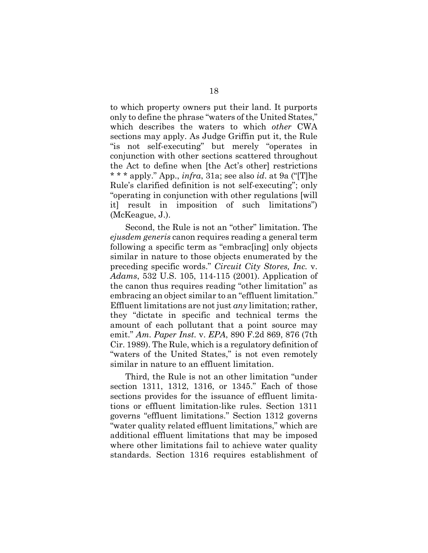to which property owners put their land. It purports only to define the phrase "waters of the United States," which describes the waters to which *other* CWA sections may apply. As Judge Griffin put it, the Rule "is not self-executing" but merely "operates in conjunction with other sections scattered throughout the Act to define when [the Act's other] restrictions \* \* \* apply." App., *infra*, 31a; see also *id*. at 9a ("[T]he Rule's clarified definition is not self-executing"; only "operating in conjunction with other regulations [will it] result in imposition of such limitations") (McKeague, J.).

<span id="page-30-1"></span>Second, the Rule is not an "other" limitation. The *ejusdem generis* canon requires reading a general term following a specific term as "embrac[ing] only objects similar in nature to those objects enumerated by the preceding specific words." *Circuit City Stores, Inc.* v. *Adams*, 532 U.S. 105, 114-115 (2001). Application of the canon thus requires reading "other limitation" as embracing an object similar to an "effluent limitation." Effluent limitations are not just *any* limitation; rather, they "dictate in specific and technical terms the amount of each pollutant that a point source may emit." *Am. Paper Inst.* v. *EPA*, 890 F.2d 869, 876 (7th Cir. 1989). The Rule, which is a regulatory definition of "waters of the United States," is not even remotely similar in nature to an effluent limitation.

<span id="page-30-2"></span><span id="page-30-0"></span>Third, the Rule is not an other limitation "under section 1311, 1312, 1316, or 1345." Each of those sections provides for the issuance of effluent limitations or effluent limitation-like rules. Section 1311 governs "effluent limitations." Section 1312 governs "water quality related effluent limitations," which are additional effluent limitations that may be imposed where other limitations fail to achieve water quality standards. Section 1316 requires establishment of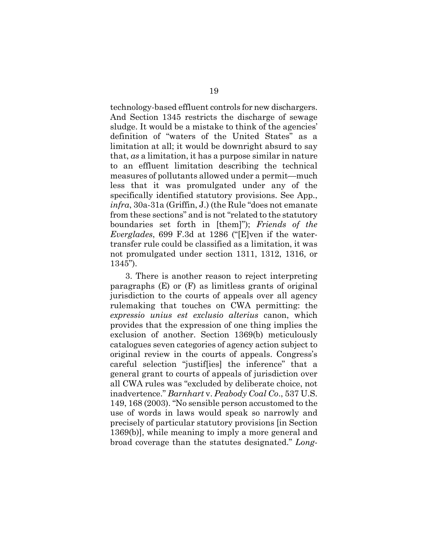technology-based effluent controls for new dischargers. And Section 1345 restricts the discharge of sewage sludge. It would be a mistake to think of the agencies' definition of "waters of the United States" as a limitation at all; it would be downright absurd to say that, *as* a limitation, it has a purpose similar in nature to an effluent limitation describing the technical measures of pollutants allowed under a permit—much less that it was promulgated under any of the specifically identified statutory provisions. See App., *infra*, 30a-31a (Griffin, J.) (the Rule "does not emanate from these sections" and is not "related to the statutory boundaries set forth in [them]"); *Friends of the Everglades*, 699 F.3d at 1286 ("[E]ven if the watertransfer rule could be classified as a limitation, it was not promulgated under section 1311, 1312, 1316, or 1345").

<span id="page-31-1"></span><span id="page-31-0"></span>3. There is another reason to reject interpreting paragraphs (E) or (F) as limitless grants of original jurisdiction to the courts of appeals over all agency rulemaking that touches on CWA permitting: the *expressio unius est exclusio alterius* canon, which provides that the expression of one thing implies the exclusion of another. Section 1369(b) meticulously catalogues seven categories of agency action subject to original review in the courts of appeals. Congress's careful selection "justif[ies] the inference" that a general grant to courts of appeals of jurisdiction over all CWA rules was "excluded by deliberate choice, not inadvertence." *Barnhart* v. *Peabody Coal Co*., 537 U.S. 149, 168 (2003). "No sensible person accustomed to the use of words in laws would speak so narrowly and precisely of particular statutory provisions [in Section 1369(b)], while meaning to imply a more general and broad coverage than the statutes designated." *Long-*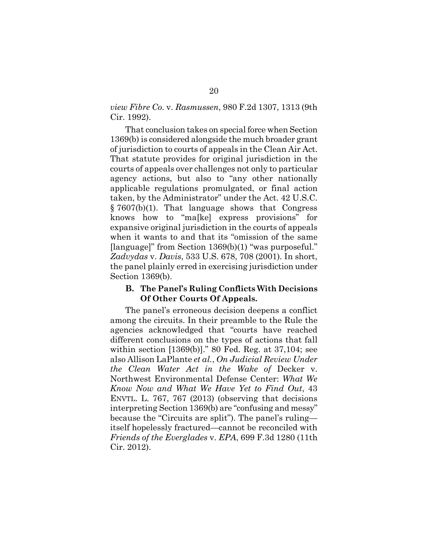*view Fibre Co.* v. *Rasmussen*, 980 F.2d 1307, 1313 (9th Cir. 1992).

<span id="page-32-2"></span>That conclusion takes on special force when Section 1369(b) is considered alongside the much broader grant of jurisdiction to courts of appeals in the Clean Air Act. That statute provides for original jurisdiction in the courts of appeals over challenges not only to particular agency actions, but also to "any other nationally applicable regulations promulgated, or final action taken, by the Administrator" under the Act. 42 U.S.C. § 7607(b)(1). That language shows that Congress knows how to "ma[ke] express provisions" for expansive original jurisdiction in the courts of appeals when it wants to and that its "omission of the same [language]" from Section 1369(b)(1) "was purposeful." *Zadvydas* v. *Davis*, 533 U.S. 678, 708 (2001). In short, the panel plainly erred in exercising jurisdiction under Section 1369(b).

#### <span id="page-32-3"></span><span id="page-32-1"></span><span id="page-32-0"></span>**B. The Panel's Ruling Conflicts With Decisions Of Other Courts Of Appeals.**

The panel's erroneous decision deepens a conflict among the circuits. In their preamble to the Rule the agencies acknowledged that "courts have reached different conclusions on the types of actions that fall within section [1369(b)]." 80 Fed. Reg. at 37,104; see also Allison LaPlante *et al.*, *On Judicial Review Under the Clean Water Act in the Wake of* Decker v. Northwest Environmental Defense Center: *What We Know Now and What We Have Yet to Find Out*, 43 ENVTL. L. 767, 767 (2013) (observing that decisions interpreting Section 1369(b) are "confusing and messy" because the "Circuits are split"). The panel's ruling itself hopelessly fractured—cannot be reconciled with *Friends of the Everglades* v. *EPA*, 699 F.3d 1280 (11th Cir. 2012).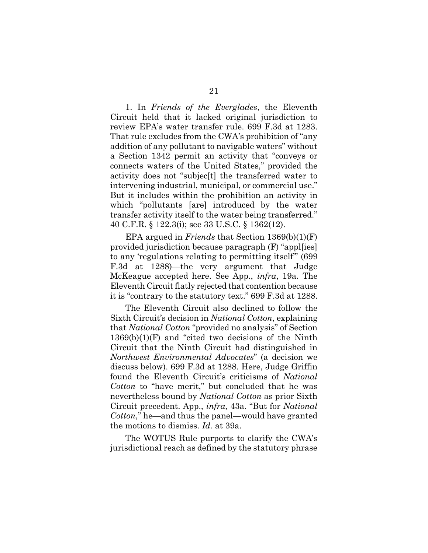1. In *Friends of the Everglades*, the Eleventh Circuit held that it lacked original jurisdiction to review EPA's water transfer rule. 699 F.3d at 1283. That rule excludes from the CWA's prohibition of "any addition of any pollutant to navigable waters" without a Section 1342 permit an activity that "conveys or connects waters of the United States," provided the activity does not "subjec[t] the transferred water to intervening industrial, municipal, or commercial use." But it includes within the prohibition an activity in which "pollutants [are] introduced by the water transfer activity itself to the water being transferred." 40 C.F.R. § 122.3(i); see 33 U.S.C. § 1362(12).

<span id="page-33-2"></span><span id="page-33-1"></span>EPA argued in *Friends* that Section 1369(b)(1)(F) provided jurisdiction because paragraph (F) "appl[ies] to any 'regulations relating to permitting itself'" (699 F.3d at 1288)—the very argument that Judge McKeague accepted here. See App., *infra*, 19a. The Eleventh Circuit flatly rejected that contention because it is "contrary to the statutory text." 699 F.3d at 1288.

<span id="page-33-0"></span>The Eleventh Circuit also declined to follow the Sixth Circuit's decision in *National Cotton*, explaining that *National Cotton* "provided no analysis" of Section  $1369(b)(1)(F)$  and "cited two decisions of the Ninth Circuit that the Ninth Circuit had distinguished in *Northwest Environmental Advocates*" (a decision we discuss below). 699 F.3d at 1288. Here, Judge Griffin found the Eleventh Circuit's criticisms of *National Cotton* to "have merit," but concluded that he was nevertheless bound by *National Cotton* as prior Sixth Circuit precedent. App., *infra*, 43a. "But for *National Cotton*," he—and thus the panel—would have granted the motions to dismiss. *Id.* at 39a.

The WOTUS Rule purports to clarify the CWA's jurisdictional reach as defined by the statutory phrase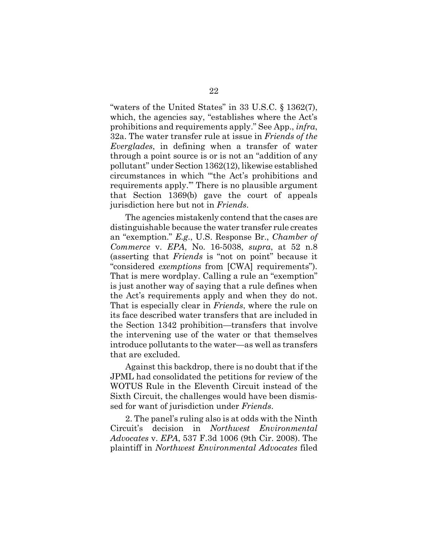<span id="page-34-1"></span><span id="page-34-0"></span>"waters of the United States" in 33 U.S.C. § 1362(7), which, the agencies say, "establishes where the Act's prohibitions and requirements apply." See App., *infra*, 32a. The water transfer rule at issue in *Friends of the Everglades*, in defining when a transfer of water through a point source is or is not an "addition of any pollutant" under Section 1362(12), likewise established circumstances in which "'the Act's prohibitions and requirements apply.'" There is no plausible argument that Section 1369(b) gave the court of appeals jurisdiction here but not in *Friends*.

The agencies mistakenly contend that the cases are distinguishable because the water transfer rule creates an "exemption." *E.g.*, U.S. Response Br., *Chamber of Commerce* v. *EPA*, No. 16-5038, *supra*, at 52 n.8 (asserting that *Friends* is "not on point" because it "considered *exemptions* from [CWA] requirements"). That is mere wordplay. Calling a rule an "exemption" is just another way of saying that a rule defines when the Act's requirements apply and when they do not. That is especially clear in *Friends*, where the rule on its face described water transfers that are included in the Section 1342 prohibition—transfers that involve the intervening use of the water or that themselves introduce pollutants to the water—as well as transfers that are excluded.

Against this backdrop, there is no doubt that if the JPML had consolidated the petitions for review of the WOTUS Rule in the Eleventh Circuit instead of the Sixth Circuit, the challenges would have been dismissed for want of jurisdiction under *Friends*.

2. The panel's ruling also is at odds with the Ninth Circuit's decision in *Northwest Environmental Advocates* v. *EPA*, 537 F.3d 1006 (9th Cir. 2008). The plaintiff in *Northwest Environmental Advocates* filed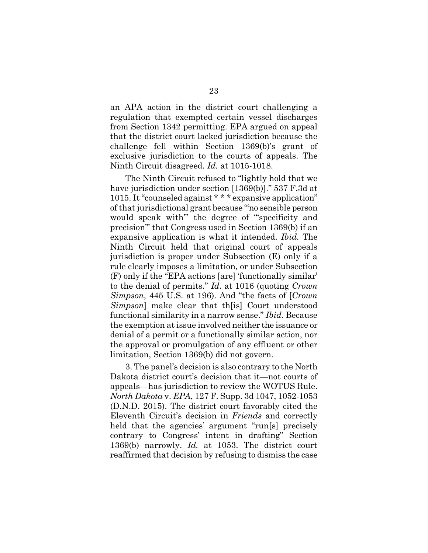an APA action in the district court challenging a regulation that exempted certain vessel discharges from Section 1342 permitting. EPA argued on appeal that the district court lacked jurisdiction because the challenge fell within Section 1369(b)'s grant of exclusive jurisdiction to the courts of appeals. The Ninth Circuit disagreed. *Id.* at 1015-1018.

The Ninth Circuit refused to "lightly hold that we have jurisdiction under section [1369(b)]." 537 F.3d at 1015. It "counseled against \* \* \* expansive application" of that jurisdictional grant because "'no sensible person would speak with'" the degree of "'specificity and precision'" that Congress used in Section 1369(b) if an expansive application is what it intended. *Ibid.* The Ninth Circuit held that original court of appeals jurisdiction is proper under Subsection (E) only if a rule clearly imposes a limitation, or under Subsection (F) only if the "EPA actions [are] 'functionally similar' to the denial of permits." *Id*. at 1016 (quoting *Crown Simpson*, 445 U.S. at 196). And "the facts of [*Crown Simpson*] make clear that th<sup>[is]</sup> Court understood functional similarity in a narrow sense." *Ibid.* Because the exemption at issue involved neither the issuance or denial of a permit or a functionally similar action, nor the approval or promulgation of any effluent or other limitation, Section 1369(b) did not govern.

<span id="page-35-1"></span><span id="page-35-0"></span>3. The panel's decision is also contrary to the North Dakota district court's decision that it—not courts of appeals—has jurisdiction to review the WOTUS Rule. *North Dakota* v. *EPA*, 127 F. Supp. 3d 1047, 1052-1053 (D.N.D. 2015). The district court favorably cited the Eleventh Circuit's decision in *Friends* and correctly held that the agencies' argument "run[s] precisely contrary to Congress' intent in drafting" Section 1369(b) narrowly. *Id.* at 1053. The district court reaffirmed that decision by refusing to dismiss the case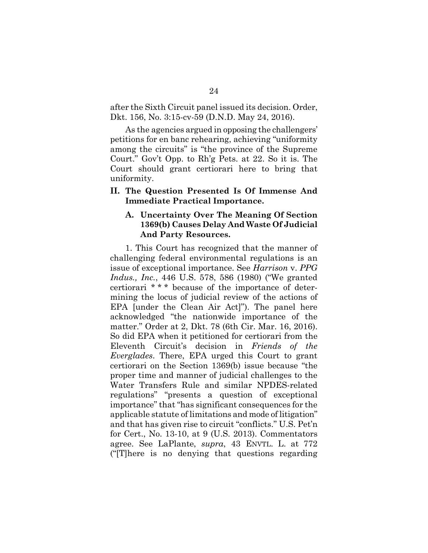after the Sixth Circuit panel issued its decision. Order, Dkt. 156, No. 3:15-cv-59 (D.N.D. May 24, 2016).

As the agencies argued in opposing the challengers' petitions for en banc rehearing, achieving "uniformity among the circuits" is "the province of the Supreme Court." Gov't Opp. to Rh'g Pets. at 22. So it is. The Court should grant certiorari here to bring that uniformity.

## <span id="page-36-0"></span>**II. The Question Presented Is Of Immense And Immediate Practical Importance.**

## <span id="page-36-2"></span><span id="page-36-1"></span>**A. Uncertainty Over The Meaning Of Section 1369(b) Causes Delay And Waste Of Judicial And Party Resources.**

1. This Court has recognized that the manner of challenging federal environmental regulations is an issue of exceptional importance. See *Harrison* v. *PPG Indus., Inc.*, 446 U.S. 578, 586 (1980) ("We granted certiorari \* \* \* because of the importance of determining the locus of judicial review of the actions of EPA [under the Clean Air Act]"). The panel here acknowledged "the nationwide importance of the matter." Order at 2, Dkt. 78 (6th Cir. Mar. 16, 2016). So did EPA when it petitioned for certiorari from the Eleventh Circuit's decision in *Friends of the Everglades*. There, EPA urged this Court to grant certiorari on the Section 1369(b) issue because "the proper time and manner of judicial challenges to the Water Transfers Rule and similar NPDES-related regulations" "presents a question of exceptional importance" that "has significant consequences for the applicable statute of limitations and mode of litigation" and that has given rise to circuit "conflicts." U.S. Pet'n for Cert., No. 13-10, at 9 (U.S. 2013). Commentators agree. See LaPlante, *supra*, 43 ENVTL. L. at 772 ("[T]here is no denying that questions regarding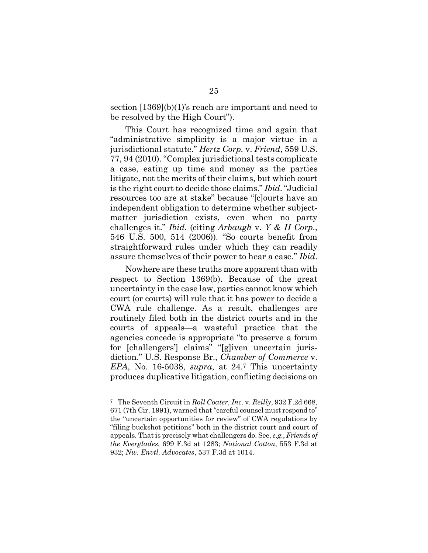section [1369](b)(1)'s reach are important and need to be resolved by the High Court").

<span id="page-37-1"></span>This Court has recognized time and again that "administrative simplicity is a major virtue in a jurisdictional statute." *Hertz Corp.* v. *Friend*, 559 U.S. 77, 94 (2010). "Complex jurisdictional tests complicate a case, eating up time and money as the parties litigate, not the merits of their claims, but which court is the right court to decide those claims." *Ibid*. "Judicial resources too are at stake" because "[c]ourts have an independent obligation to determine whether subjectmatter jurisdiction exists, even when no party challenges it." *Ibid*. (citing *Arbaugh* v. *Y & H Corp*., 546 U.S. 500, 514 (2006)). "So courts benefit from straightforward rules under which they can readily assure themselves of their power to hear a case." *Ibid*.

<span id="page-37-0"></span>Nowhere are these truths more apparent than with respect to Section 1369(b). Because of the great uncertainty in the case law, parties cannot know which court (or courts) will rule that it has power to decide a CWA rule challenge. As a result, challenges are routinely filed both in the district courts and in the courts of appeals—a wasteful practice that the agencies concede is appropriate "to preserve a forum for [challengers'] claims" "[g]iven uncertain jurisdiction." U.S. Response Br., *Chamber of Commerce* v. *EPA*, No. 16-5038, *supra*, at 24.[7](#page-37-3) This uncertainty produces duplicative litigation, conflicting decisions on

<span id="page-37-3"></span><span id="page-37-2"></span><sup>7</sup> The Seventh Circuit in *Roll Coater, Inc.* v. *Reilly*, 932 F.2d 668, 671 (7th Cir. 1991), warned that "careful counsel must respond to" the "uncertain opportunities for review" of CWA regulations by "filing buckshot petitions" both in the district court and court of appeals. That is precisely what challengers do. See, *e.g.*, *Friends of the Everglades*, 699 F.3d at 1283; *National Cotton*, 553 F.3d at 932; *Nw. Envtl. Advocates*, 537 F.3d at 1014.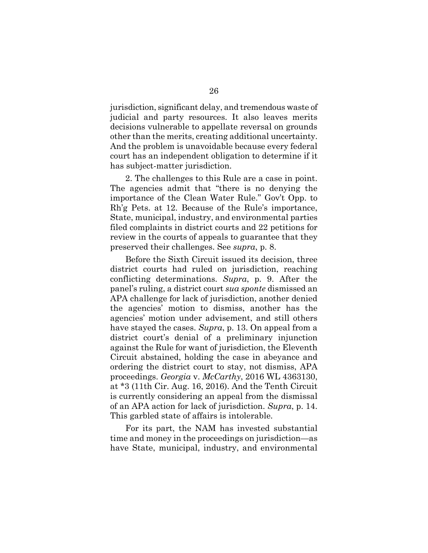jurisdiction, significant delay, and tremendous waste of judicial and party resources. It also leaves merits decisions vulnerable to appellate reversal on grounds other than the merits, creating additional uncertainty. And the problem is unavoidable because every federal court has an independent obligation to determine if it has subject-matter jurisdiction.

2. The challenges to this Rule are a case in point. The agencies admit that "there is no denying the importance of the Clean Water Rule." Gov't Opp. to Rh'g Pets. at 12. Because of the Rule's importance, State, municipal, industry, and environmental parties filed complaints in district courts and 22 petitions for review in the courts of appeals to guarantee that they preserved their challenges. See *supra*, p. 8.

Before the Sixth Circuit issued its decision, three district courts had ruled on jurisdiction, reaching conflicting determinations. *Supra*, p. 9. After the panel's ruling, a district court *sua sponte* dismissed an APA challenge for lack of jurisdiction, another denied the agencies' motion to dismiss, another has the agencies' motion under advisement, and still others have stayed the cases. *Supra*, p. 13. On appeal from a district court's denial of a preliminary injunction against the Rule for want of jurisdiction, the Eleventh Circuit abstained, holding the case in abeyance and ordering the district court to stay, not dismiss, APA proceedings. *Georgia* v. *McCarthy*, 2016 WL 4363130, at \*3 (11th Cir. Aug. 16, 2016). And the Tenth Circuit is currently considering an appeal from the dismissal of an APA action for lack of jurisdiction. *Supra*, p. 14. This garbled state of affairs is intolerable.

<span id="page-38-0"></span>For its part, the NAM has invested substantial time and money in the proceedings on jurisdiction—as have State, municipal, industry, and environmental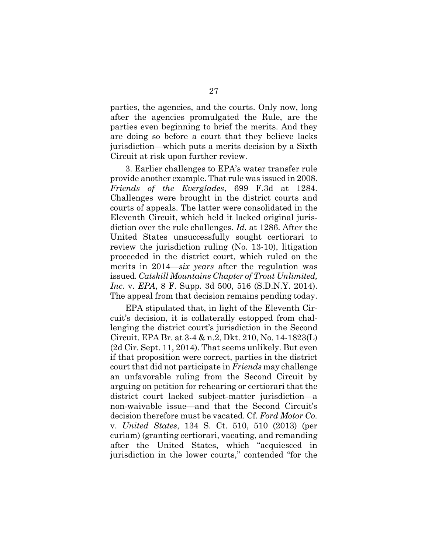parties, the agencies, and the courts. Only now, long after the agencies promulgated the Rule, are the parties even beginning to brief the merits. And they are doing so before a court that they believe lacks jurisdiction—which puts a merits decision by a Sixth Circuit at risk upon further review.

3. Earlier challenges to EPA's water transfer rule provide another example. That rule was issued in 2008. *Friends of the Everglades*, 699 F.3d at 1284. Challenges were brought in the district courts and courts of appeals. The latter were consolidated in the Eleventh Circuit, which held it lacked original jurisdiction over the rule challenges. *Id.* at 1286. After the United States unsuccessfully sought certiorari to review the jurisdiction ruling (No. 13-10), litigation proceeded in the district court, which ruled on the merits in 2014—*six years* after the regulation was issued. *Catskill Mountains Chapter of Trout Unlimited, Inc.* v. *EPA*, 8 F. Supp. 3d 500, 516 (S.D.N.Y. 2014). The appeal from that decision remains pending today.

<span id="page-39-1"></span><span id="page-39-0"></span>EPA stipulated that, in light of the Eleventh Circuit's decision, it is collaterally estopped from challenging the district court's jurisdiction in the Second Circuit. EPA Br. at 3-4 & n.2, Dkt. 210, No. 14-1823(L) (2d Cir. Sept. 11, 2014). That seems unlikely. But even if that proposition were correct, parties in the district court that did not participate in *Friends* may challenge an unfavorable ruling from the Second Circuit by arguing on petition for rehearing or certiorari that the district court lacked subject-matter jurisdiction—a non-waivable issue—and that the Second Circuit's decision therefore must be vacated. Cf. *Ford Motor Co.* v. *United States*, 134 S. Ct. 510, 510 (2013) (per curiam) (granting certiorari, vacating, and remanding after the United States, which "acquiesced in jurisdiction in the lower courts," contended "for the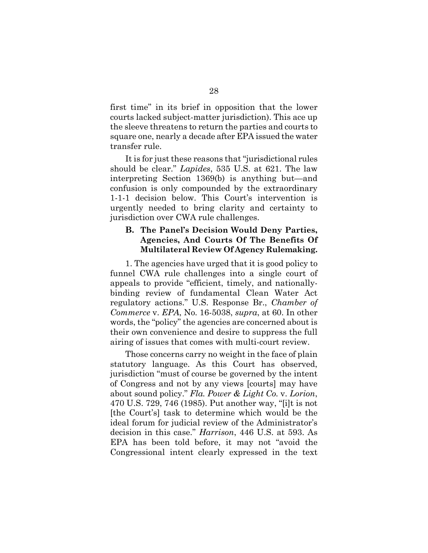first time" in its brief in opposition that the lower courts lacked subject-matter jurisdiction). This ace up the sleeve threatens to return the parties and courts to square one, nearly a decade after EPA issued the water transfer rule.

<span id="page-40-2"></span>It is for just these reasons that "jurisdictional rules should be clear." *Lapides*, 535 U.S. at 621. The law interpreting Section 1369(b) is anything but—and confusion is only compounded by the extraordinary 1-1-1 decision below. This Court's intervention is urgently needed to bring clarity and certainty to jurisdiction over CWA rule challenges.

## <span id="page-40-0"></span>**B. The Panel's Decision Would Deny Parties, Agencies, And Courts Of The Benefits Of Multilateral Review Of Agency Rulemaking.**

1. The agencies have urged that it is good policy to funnel CWA rule challenges into a single court of appeals to provide "efficient, timely, and nationallybinding review of fundamental Clean Water Act regulatory actions." U.S. Response Br., *Chamber of Commerce* v. *EPA*, No. 16-5038, *supra*, at 60. In other words, the "policy" the agencies are concerned about is their own convenience and desire to suppress the full airing of issues that comes with multi-court review.

<span id="page-40-1"></span>Those concerns carry no weight in the face of plain statutory language. As this Court has observed, jurisdiction "must of course be governed by the intent of Congress and not by any views [courts] may have about sound policy." *Fla. Power & Light Co.* v. *Lorion*, 470 U.S. 729, 746 (1985). Put another way, "[i]t is not [the Court's] task to determine which would be the ideal forum for judicial review of the Administrator's decision in this case." *Harrison*, 446 U.S. at 593. As EPA has been told before, it may not "avoid the Congressional intent clearly expressed in the text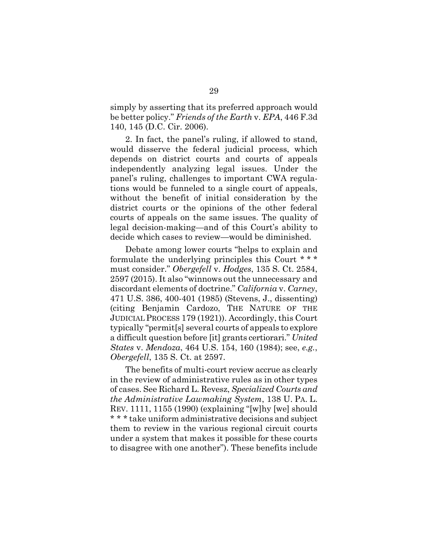<span id="page-41-1"></span>simply by asserting that its preferred approach would be better policy." *Friends of the Earth* v. *EPA*, 446 F.3d 140, 145 (D.C. Cir. 2006).

2. In fact, the panel's ruling, if allowed to stand, would disserve the federal judicial process, which depends on district courts and courts of appeals independently analyzing legal issues. Under the panel's ruling, challenges to important CWA regulations would be funneled to a single court of appeals, without the benefit of initial consideration by the district courts or the opinions of the other federal courts of appeals on the same issues. The quality of legal decision-making—and of this Court's ability to decide which cases to review—would be diminished.

<span id="page-41-2"></span><span id="page-41-0"></span>Debate among lower courts "helps to explain and formulate the underlying principles this Court \* \* \* must consider." *Obergefell* v. *Hodges*, 135 S. Ct. 2584, 2597 (2015). It also "winnows out the unnecessary and discordant elements of doctrine." *California* v. *Carney*, 471 U.S. 386, 400-401 (1985) (Stevens, J., dissenting) (citing Benjamin Cardozo, THE NATURE OF THE JUDICIAL PROCESS 179 (1921)). Accordingly, this Court typically "permit[s] several courts of appeals to explore a difficult question before [it] grants certiorari." *United States* v. *Mendoza*, 464 U.S. 154, 160 (1984); see, *e.g.*, *Obergefell*, 135 S. Ct. at 2597.

<span id="page-41-3"></span>The benefits of multi-court review accrue as clearly in the review of administrative rules as in other types of cases. See Richard L. Revesz, *Specialized Courts and the Administrative Lawmaking System*, 138 U. PA. L. REV. 1111, 1155 (1990) (explaining "[w]hy [we] should \* \* \* take uniform administrative decisions and subject them to review in the various regional circuit courts under a system that makes it possible for these courts to disagree with one another"). These benefits include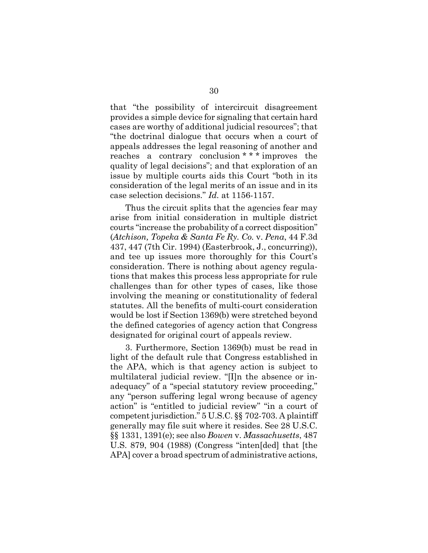that "the possibility of intercircuit disagreement provides a simple device for signaling that certain hard cases are worthy of additional judicial resources"; that "the doctrinal dialogue that occurs when a court of appeals addresses the legal reasoning of another and reaches a contrary conclusion \* \* \* improves the quality of legal decisions"; and that exploration of an issue by multiple courts aids this Court "both in its consideration of the legal merits of an issue and in its case selection decisions." *Id.* at 1156-1157.

<span id="page-42-0"></span>Thus the circuit splits that the agencies fear may arise from initial consideration in multiple district courts "increase the probability of a correct disposition" (*Atchison, Topeka & Santa Fe Ry. Co.* v. *Pena*, 44 F.3d 437, 447 (7th Cir. 1994) (Easterbrook, J., concurring)), and tee up issues more thoroughly for this Court's consideration. There is nothing about agency regulations that makes this process less appropriate for rule challenges than for other types of cases, like those involving the meaning or constitutionality of federal statutes. All the benefits of multi-court consideration would be lost if Section 1369(b) were stretched beyond the defined categories of agency action that Congress designated for original court of appeals review.

<span id="page-42-1"></span>3. Furthermore, Section 1369(b) must be read in light of the default rule that Congress established in the APA, which is that agency action is subject to multilateral judicial review. "[I]n the absence or inadequacy" of a "special statutory review proceeding," any "person suffering legal wrong because of agency action" is "entitled to judicial review" "in a court of competent jurisdiction." 5 U.S.C. §§ 702-703. A plaintiff generally may file suit where it resides. See 28 U.S.C. §§ 1331, 1391(e); see also *Bowen* v. *Massachusetts*, 487 U.S. 879, 904 (1988) (Congress "inten[ded] that [the APA] cover a broad spectrum of administrative actions,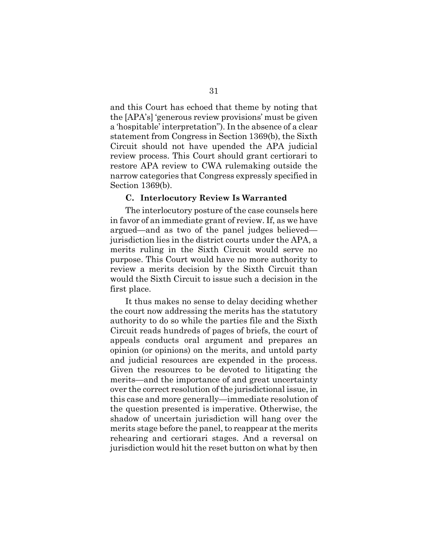and this Court has echoed that theme by noting that the [APA's] 'generous review provisions' must be given a 'hospitable' interpretation"). In the absence of a clear statement from Congress in Section 1369(b), the Sixth Circuit should not have upended the APA judicial review process. This Court should grant certiorari to restore APA review to CWA rulemaking outside the narrow categories that Congress expressly specified in Section 1369(b).

#### <span id="page-43-0"></span>**C. Interlocutory Review Is Warranted**

The interlocutory posture of the case counsels here in favor of an immediate grant of review. If, as we have argued—and as two of the panel judges believed jurisdiction lies in the district courts under the APA, a merits ruling in the Sixth Circuit would serve no purpose. This Court would have no more authority to review a merits decision by the Sixth Circuit than would the Sixth Circuit to issue such a decision in the first place.

It thus makes no sense to delay deciding whether the court now addressing the merits has the statutory authority to do so while the parties file and the Sixth Circuit reads hundreds of pages of briefs, the court of appeals conducts oral argument and prepares an opinion (or opinions) on the merits, and untold party and judicial resources are expended in the process. Given the resources to be devoted to litigating the merits—and the importance of and great uncertainty over the correct resolution of the jurisdictional issue, in this case and more generally—immediate resolution of the question presented is imperative. Otherwise, the shadow of uncertain jurisdiction will hang over the merits stage before the panel, to reappear at the merits rehearing and certiorari stages. And a reversal on jurisdiction would hit the reset button on what by then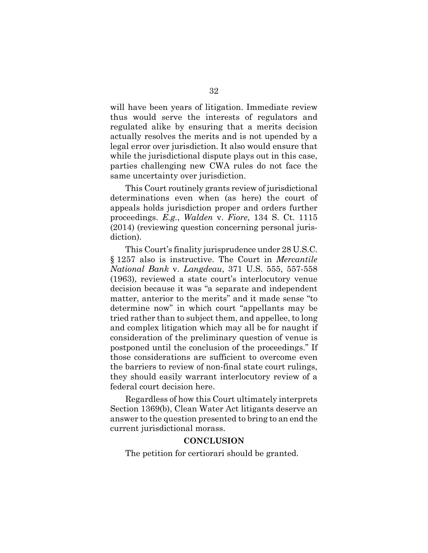will have been years of litigation. Immediate review thus would serve the interests of regulators and regulated alike by ensuring that a merits decision actually resolves the merits and is not upended by a legal error over jurisdiction. It also would ensure that while the jurisdictional dispute plays out in this case, parties challenging new CWA rules do not face the same uncertainty over jurisdiction.

<span id="page-44-2"></span>This Court routinely grants review of jurisdictional determinations even when (as here) the court of appeals holds jurisdiction proper and orders further proceedings. *E.g.*, *Walden* v. *Fiore*, 134 S. Ct. 1115 (2014) (reviewing question concerning personal jurisdiction).

<span id="page-44-3"></span><span id="page-44-1"></span>This Court's finality jurisprudence under 28 U.S.C. § 1257 also is instructive. The Court in *Mercantile National Bank* v. *Langdeau*, 371 U.S. 555, 557-558 (1963), reviewed a state court's interlocutory venue decision because it was "a separate and independent matter, anterior to the merits" and it made sense "to determine now" in which court "appellants may be tried rather than to subject them, and appellee, to long and complex litigation which may all be for naught if consideration of the preliminary question of venue is postponed until the conclusion of the proceedings." If those considerations are sufficient to overcome even the barriers to review of non-final state court rulings, they should easily warrant interlocutory review of a federal court decision here.

Regardless of how this Court ultimately interprets Section 1369(b), Clean Water Act litigants deserve an answer to the question presented to bring to an end the current jurisdictional morass.

#### <span id="page-44-0"></span>**CONCLUSION**

The petition for certiorari should be granted.